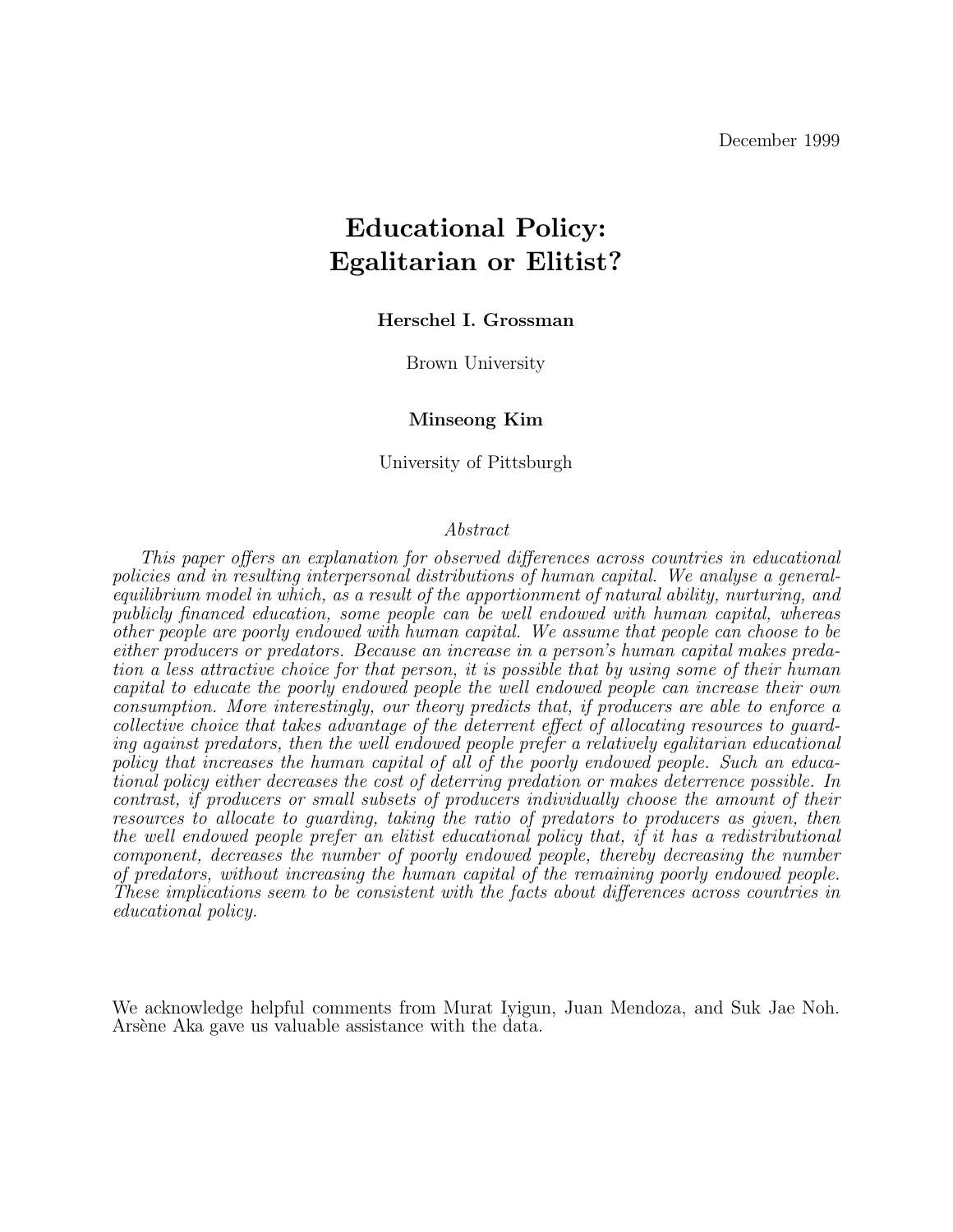December 1999

# **Educational Policy: Egalitarian or Elitist?**

### **Herschel I. Grossman**

Brown University

### **Minseong Kim**

University of Pittsburgh

#### Abstract

This paper offers an explanation for observed differences across countries in educational policies and in resulting interpersonal distributions of human capital. We analyse a generalequilibrium model in which, as a result of the apportionment of natural ability, nurturing, and publicly financed education, some people can be well endowed with human capital, whereas other people are poorly endowed with human capital. We assume that people can choose to be either producers or predators. Because an increase in a person's human capital makes predation a less attractive choice for that person, it is possible that by using some of their human capital to educate the poorly endowed people the well endowed people can increase their own consumption. More interestingly, our theory predicts that, if producers are able to enforce a collective choice that takes advantage of the deterrent effect of allocating resources to guarding against predators, then the well endowed people prefer a relatively egalitarian educational policy that increases the human capital of all of the poorly endowed people. Such an educational policy either decreases the cost of deterring predation or makes deterrence possible. In contrast, if producers or small subsets of producers individually choose the amount of their resources to allocate to guarding, taking the ratio of predators to producers as given, then the well endowed people prefer an elitist educational policy that, if it has a redistributional component, decreases the number of poorly endowed people, thereby decreasing the number of predators, without increasing the human capital of the remaining poorly endowed people. These implications seem to be consistent with the facts about differences across countries in educational policy.

We acknowledge helpful comments from Murat Iyigun, Juan Mendoza, and Suk Jae Noh. Arsène Aka gave us valuable assistance with the data.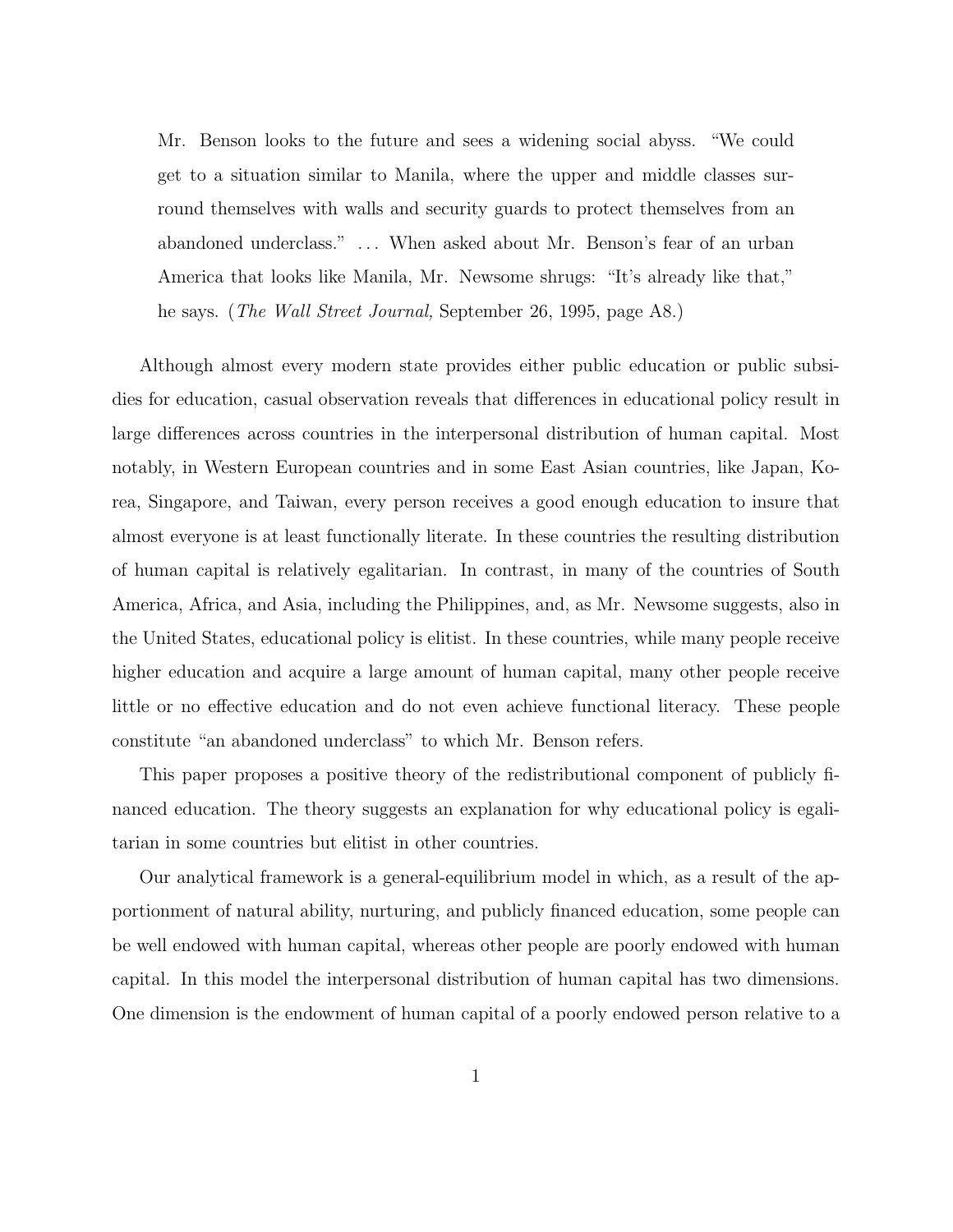Mr. Benson looks to the future and sees a widening social abyss. "We could get to a situation similar to Manila, where the upper and middle classes surround themselves with walls and security guards to protect themselves from an abandoned underclass." ... When asked about Mr. Benson's fear of an urban America that looks like Manila, Mr. Newsome shrugs: "It's already like that," he says. (*The Wall Street Journal*, September 26, 1995, page A8.)

Although almost every modern state provides either public education or public subsidies for education, casual observation reveals that differences in educational policy result in large differences across countries in the interpersonal distribution of human capital. Most notably, in Western European countries and in some East Asian countries, like Japan, Korea, Singapore, and Taiwan, every person receives a good enough education to insure that almost everyone is at least functionally literate. In these countries the resulting distribution of human capital is relatively egalitarian. In contrast,in many of the countries of South America, Africa, and Asia, including the Philippines, and, as Mr. Newsome suggests, also in the United States, educational policy is elitist. In these countries, while many people receive higher education and acquire a large amount of human capital, many other people receive little or no effective education and do not even achieve functional literacy. These people constitute "an abandoned underclass" to which Mr. Benson refers.

This paper proposes a positive theory of the redistributional component of publicly financed education. The theory suggests an explanation for why educational policy is egalitarian in some countries but elitist in other countries.

Our analytical framework is a general-equilibrium model in which, as a result of the apportionment of natural ability, nurturing, and publicly financed education, some people can be well endowed with human capital, whereas other people are poorly endowed with human capital. In this model the interpersonal distribution of human capital has two dimensions. One dimension is the endowment of human capital of a poorly endowed person relative to a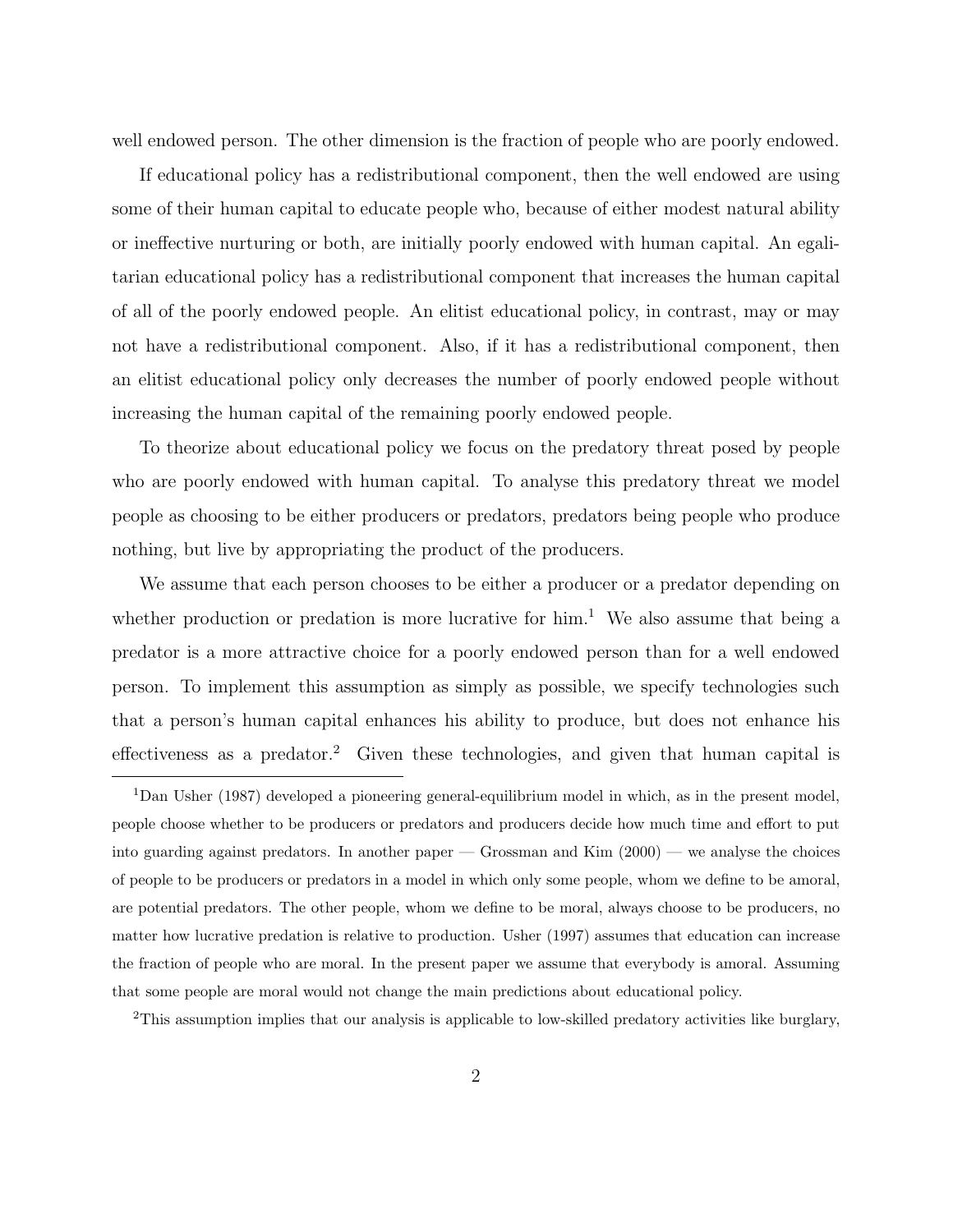well endowed person. The other dimension is the fraction of people who are poorly endowed.

If educational policy has a redistributional component, then the well endowed are using some of their human capital to educate people who, because of either modest natural ability or ineffective nurturing or both, are initially poorly endowed with human capital. An egalitarian educational policy has a redistributional component that increases the human capital of all of the poorly endowed people. An elitist educational policy, in contrast, may or may not have a redistributional component. Also, if it has a redistributional component, then an elitist educational policy only decreases the number of poorly endowed people without increasing the human capital of the remaining poorly endowed people.

To theorize about educational policy we focus on the predatory threat posed by people who are poorly endowed with human capital. To analyse this predatory threat we model people as choosing to be either producers or predators, predators being people who produce nothing, but live by appropriating the product of the producers.

We assume that each person chooses to be either a producer or a predator depending on whether production or predation is more lucrative for  $\lim_{h \to 0} 1$ . We also assume that being a predator is a more attractive choice for a poorly endowed person than for a well endowed person. To implement this assumption as simply as possible, we specify technologies such that a person's human capital enhances his ability to produce, but does not enhance his effectiveness as a predator.<sup>2</sup> Given these technologies, and given that human capital is

<sup>2</sup>This assumption implies that our analysis is applicable to low-skilled predatory activities like burglary,

<sup>1</sup>Dan Usher (1987) developed a pioneering general-equilibrium model in which, as in the present model, people choose whether to be producers or predators and producers decide how much time and effort to put into guarding against predators. In another paper  $-$  Grossman and Kim  $(2000)$   $-$  we analyse the choices of people to be producers or predators in a model in which only some people, whom we define to be amoral, are potential predators.The other people, whom we define to be moral, always choose to be producers, no matter how lucrative predation is relative to production. Usher (1997) assumes that education can increase the fraction of people who are moral.In the present paper we assume that everybody is amoral.Assuming that some people are moral would not change the main predictions about educational policy.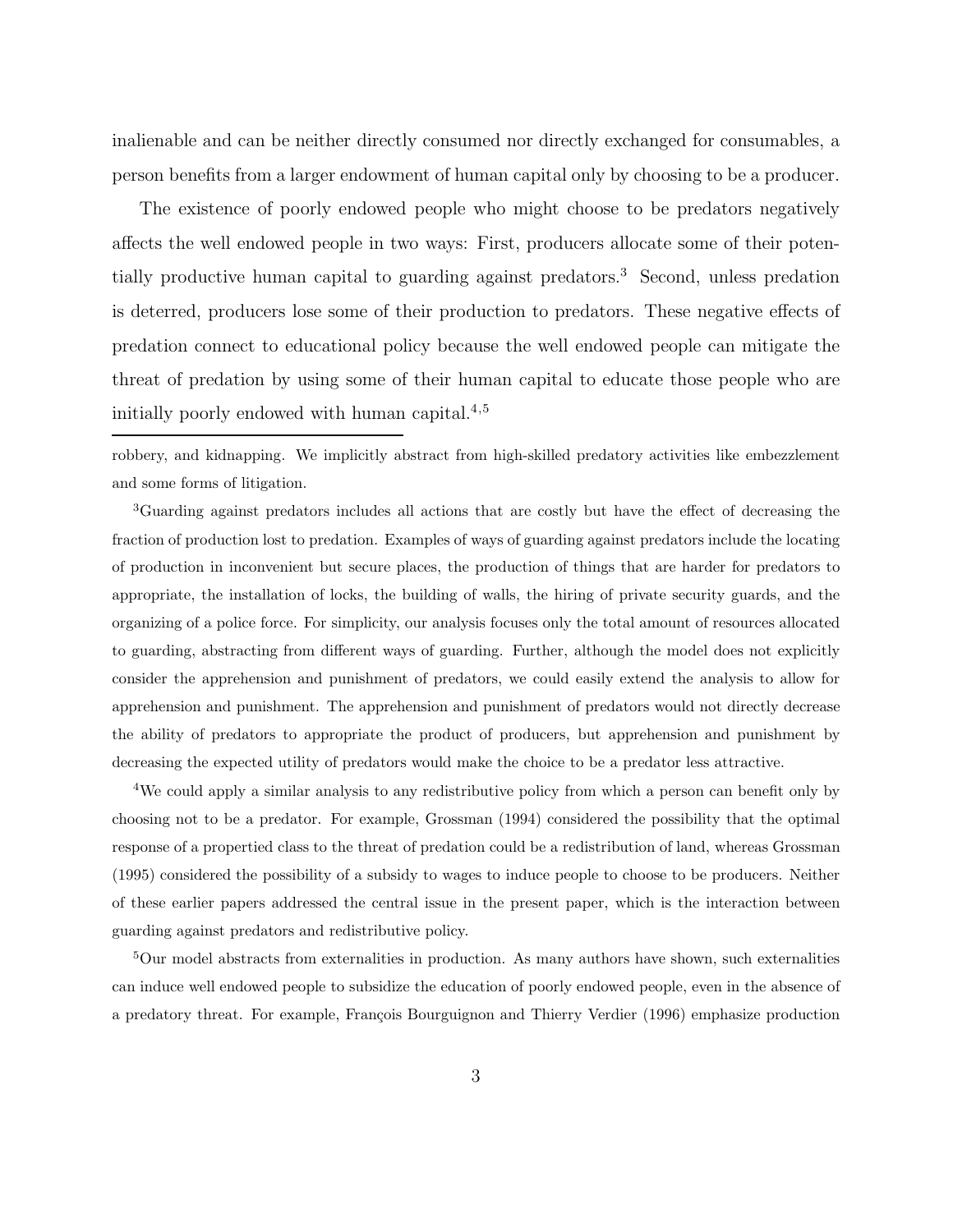inalienable and can be neither directly consumed nor directly exchanged for consumables, a person benefits from a larger endowment of human capital only by choosing to be a producer.

The existence of poorly endowed people who might choose to be predators negatively affects the well endowed people in two ways: First, producers allocate some of their potentially productive human capital to guarding against predators.<sup>3</sup> Second, unless predation is deterred, producers lose some of their production to predators. These negative effects of predation connect to educational policy because the well endowed people can mitigate the threat of predation by using some of their human capital to educate those people who are initially poorly endowed with human capital.<sup>4</sup>,<sup>5</sup>

robbery, and kidnapping. We implicitly abstract from high-skilled predatory activities like embezzlement and some forms of litigation.

<sup>3</sup>Guarding against predators includes all actions that are costly but have the effect of decreasing the fraction of production lost to predation.Examples of ways of guarding against predators include the locating of production in inconvenient but secure places, the production of things that are harder for predators to appropriate, the installation of locks, the building of walls, the hiring of private security guards, and the organizing of a police force.For simplicity, our analysis focuses only the total amount of resources allocated to guarding, abstracting from different ways of guarding. Further, although the model does not explicitly consider the apprehension and punishment of predators, we could easily extend the analysis to allow for apprehension and punishment.The apprehension and punishment of predators would not directly decrease the ability of predators to appropriate the product of producers, but apprehension and punishment by decreasing the expected utility of predators would make the choice to be a predator less attractive.

<sup>4</sup>We could apply a similar analysis to any redistributive policy from which a person can benefit only by choosing not to be a predator. For example, Grossman (1994) considered the possibility that the optimal response of a propertied class to the threat of predation could be a redistribution of land, whereas Grossman (1995) considered the possibility of a subsidy to wages to induce people to choose to be producers.Neither of these earlier papers addressed the central issue in the present paper, which is the interaction between guarding against predators and redistributive policy.

 $5$ Our model abstracts from externalities in production. As many authors have shown, such externalities can induce well endowed people to subsidize the education of poorly endowed people, even in the absence of a predatory threat. For example, François Bourguignon and Thierry Verdier (1996) emphasize production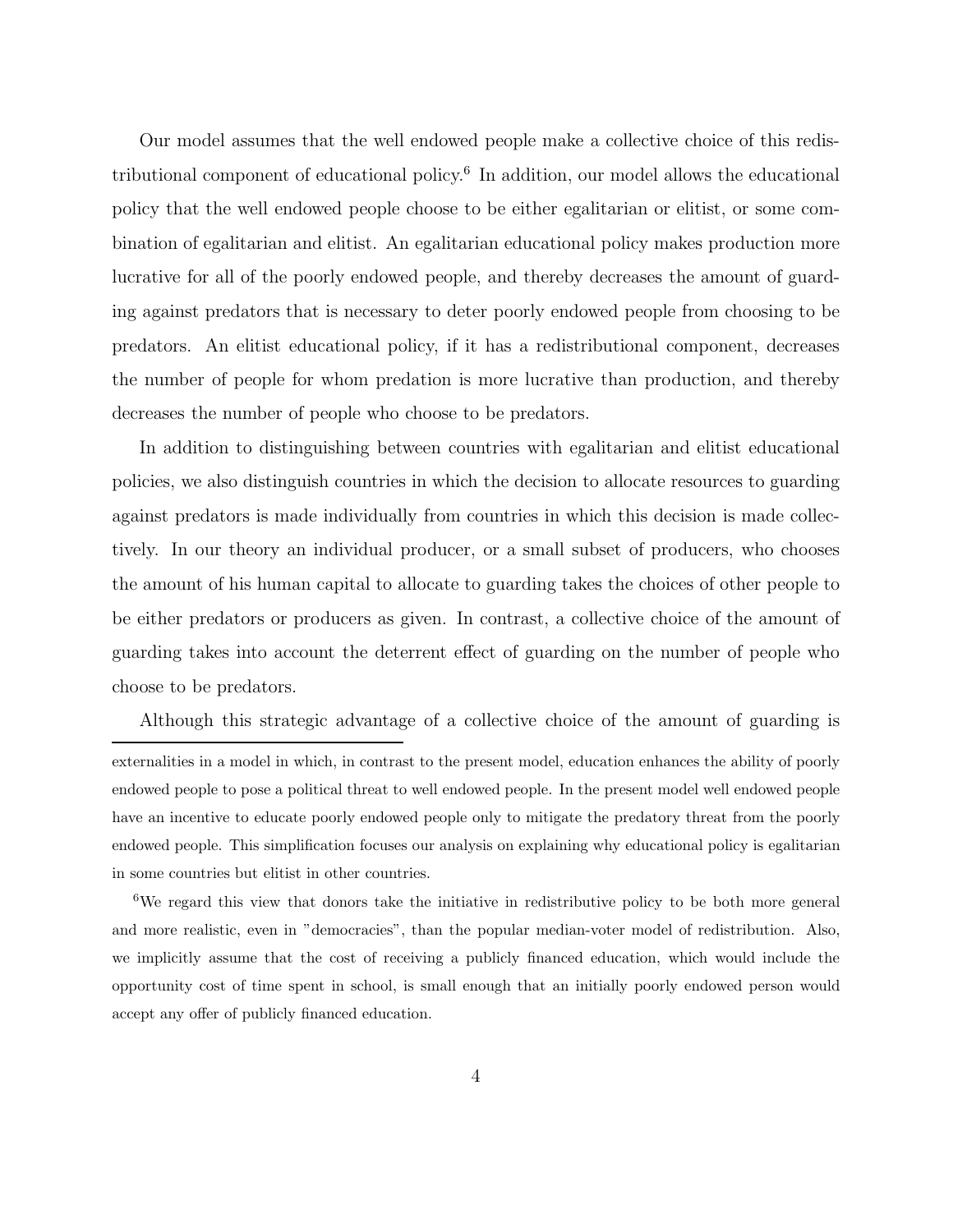Our model assumes that the well endowed people make a collective choice of this redistributional component of educational policy.<sup>6</sup> In addition, our model allows the educational policy that the well endowed people choose to be either egalitarian or elitist, or some combination of egalitarian and elitist. An egalitarian educational policy makes production more lucrative for all of the poorly endowed people, and thereby decreases the amount of guarding against predators that is necessary to deter poorly endowed people from choosing to be predators. An elitist educational policy, if it has a redistributional component, decreases the number of people for whom predation is more lucrative than production, and thereby decreases the number of people who choose to be predators.

In addition to distinguishing between countries with egalitarian and elitist educational policies, we also distinguish countries in which the decision to allocate resources to guarding against predators is made individually from countries in which this decision is made collectively. In our theory an individual producer, or a small subset of producers, who chooses the amount of his human capital to allocate to guarding takes the choices of other people to be either predators or producers as given. In contrast, a collective choice of the amount of guarding takes into account the deterrent effect of guarding on the number of people who choose to be predators.

Although this strategic advantage of a collective choice of the amount of guarding is externalities in a model in which, in contrast to the present model, education enhances the ability of poorly endowed people to pose a political threat to well endowed people.In the present model well endowed people have an incentive to educate poorly endowed people only to mitigate the predatory threat from the poorly endowed people.This simplification focuses our analysis on explaining why educational policy is egalitarian in some countries but elitist in other countries.

<sup>6</sup>We regard this view that donors take the initiative in redistributive policy to be both more general and more realistic, even in "democracies", than the popular median-voter model of redistribution. Also, we implicitly assume that the cost of receiving a publicly financed education, which would include the opportunity cost of time spent in school, is small enough that an initially poorly endowed person would accept any offer of publicly financed education.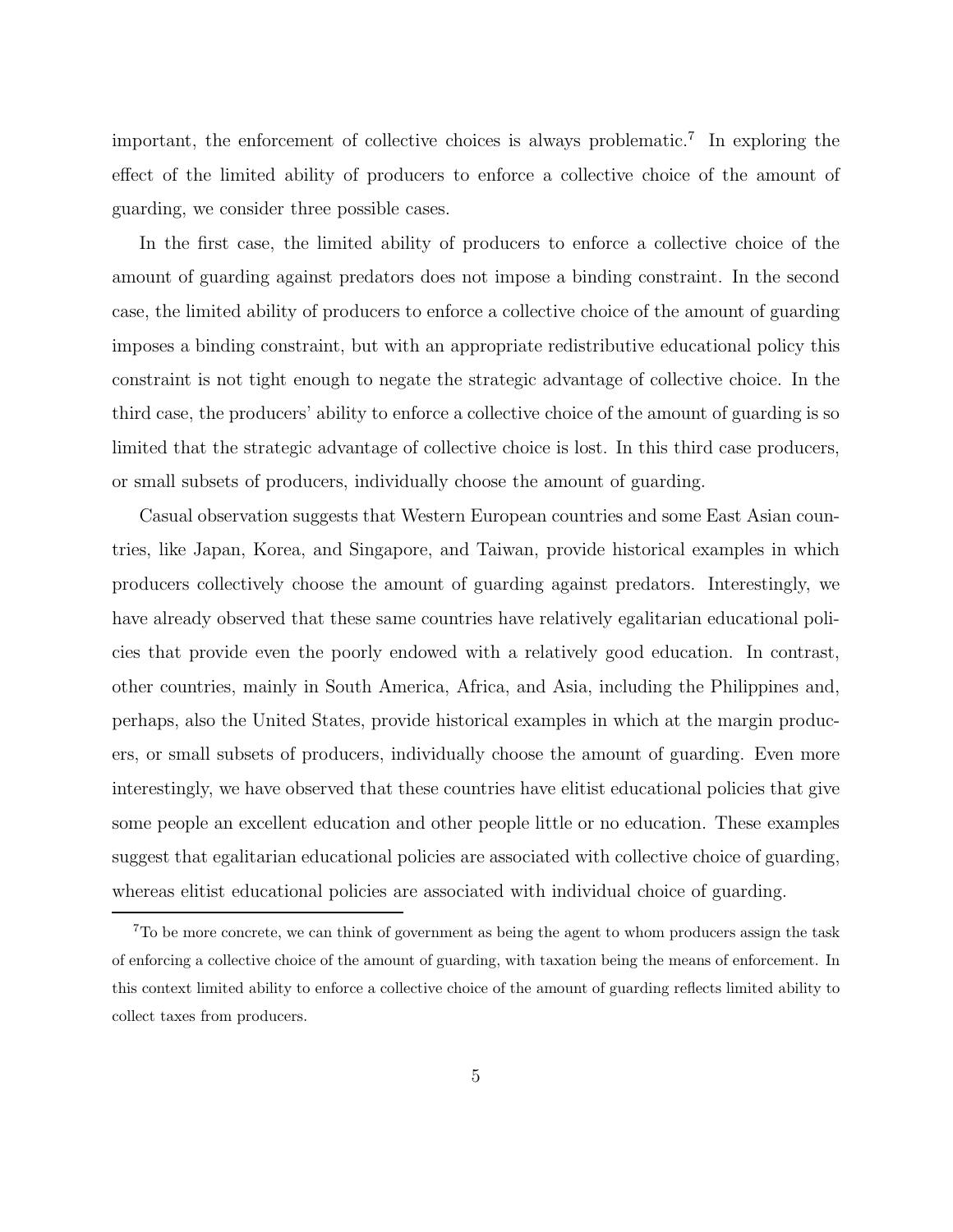important, the enforcement of collective choices is always problematic.<sup>7</sup> In exploring the effect of the limited ability of producers to enforce a collective choice of the amount of guarding,we consider three possible cases.

In the first case, the limited ability of producers to enforce a collective choice of the amount of guarding against predators does not impose a binding constraint. In the second case, the limited ability of producers to enforce a collective choice of the amount of guarding imposes a binding constraint, but with an appropriate redistributive educational policy this constraint is not tight enough to negate the strategic advantage of collective choice. In the third case, the producers' ability to enforce a collective choice of the amount of guarding is so limited that the strategic advantage of collective choice is lost. In this third case producers, or small subsets of producers, individually choose the amount of guarding.

Casual observation suggests that Western European countries and some East Asian countries, like Japan, Korea, and Singapore, and Taiwan, provide historical examples in which producers collectively choose the amount of guarding against predators. Interestingly,we have already observed that these same countries have relatively egalitarian educational policies that provide even the poorly endowed with a relatively good education. In contrast, other countries, mainly in South America, Africa, and Asia, including the Philippines and, perhaps, also the United States, provide historical examples in which at the margin producers, or small subsets of producers, individually choose the amount of guarding. Even more interestingly, we have observed that these countries have elitist educational policies that give some people an excellent education and other people little or no education. These examples suggest that egalitarian educational policies are associated with collective choice of guarding, whereas elitist educational policies are associated with individual choice of guarding.

<sup>7</sup>To be more concrete, we can think of government as being the agent to whom producers assign the task of enforcing a collective choice of the amount of guarding, with taxation being the means of enforcement.In this context limited ability to enforce a collective choice of the amount of guarding reflects limited ability to collect taxes from producers.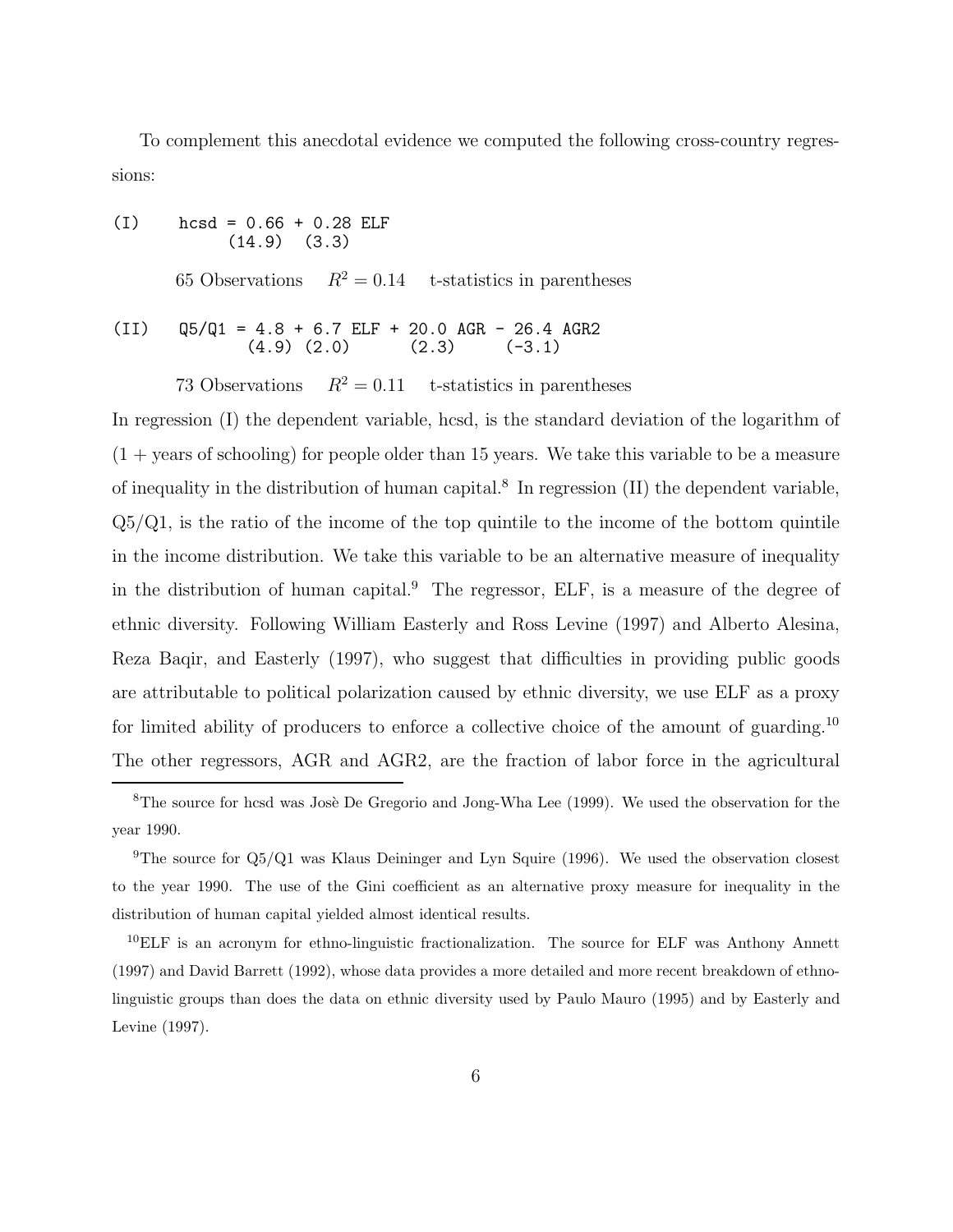To complement this anecdotal evidence we computed the following cross-country regressions:

(I)  $\text{hcsd} = 0.66 + 0.28 \text{ ELF}$ <br>(14.9) (3.3)  $(14.9)$ 

65 Observations  $R^2 = 0.14$  t-statistics in parentheses

(II) 
$$
Q5/Q1 = 4.8 + 6.7
$$
 ELF + 20.0 AGR - 26.4 AGR2  
(4.9) (2.0) (2.3) (-3.1)

73 Observations  $R^2 = 0.11$  t-statistics in parentheses

In regression  $(I)$  the dependent variable, hcsd, is the standard deviation of the logarithm of  $(1 + \text{years of schooling})$  for people older than 15 years. We take this variable to be a measure of inequality in the distribution of human capital.<sup>8</sup> In regression  $(II)$  the dependent variable,  $Q5/Q1$ , is the ratio of the income of the top quintile to the income of the bottom quintile in the income distribution. We take this variable to be an alternative measure of inequality in the distribution of human capital. $9$  The regressor, ELF, is a measure of the degree of ethnic diversity. Following William Easterly and Ross Levine (1997) and Alberto Alesina, Reza Baqir, and Easterly (1997), who suggest that difficulties in providing public goods are attributable to political polarization caused by ethnic diversity, we use ELF as a proxy for limited ability of producers to enforce a collective choice of the amount of guarding.<sup>10</sup> The other regressors, AGR and AGR2, are the fraction of labor force in the agricultural

 $8$ The source for hcsd was Josè De Gregorio and Jong-Wha Lee (1999). We used the observation for the year 1990.

<sup>&</sup>lt;sup>9</sup>The source for  $Q5/Q1$  was Klaus Deininger and Lyn Squire (1996). We used the observation closest to the year 1990. The use of the Gini coefficient as an alternative proxy measure for inequality in the distribution of human capital yielded almost identical results.

<sup>&</sup>lt;sup>10</sup>ELF is an acronym for ethno-linguistic fractionalization. The source for ELF was Anthony Annett (1997) and David Barrett (1992), whose data provides a more detailed and more recent breakdown of ethnolinguistic groups than does the data on ethnic diversity used by Paulo Mauro (1995) and by Easterly and Levine (1997).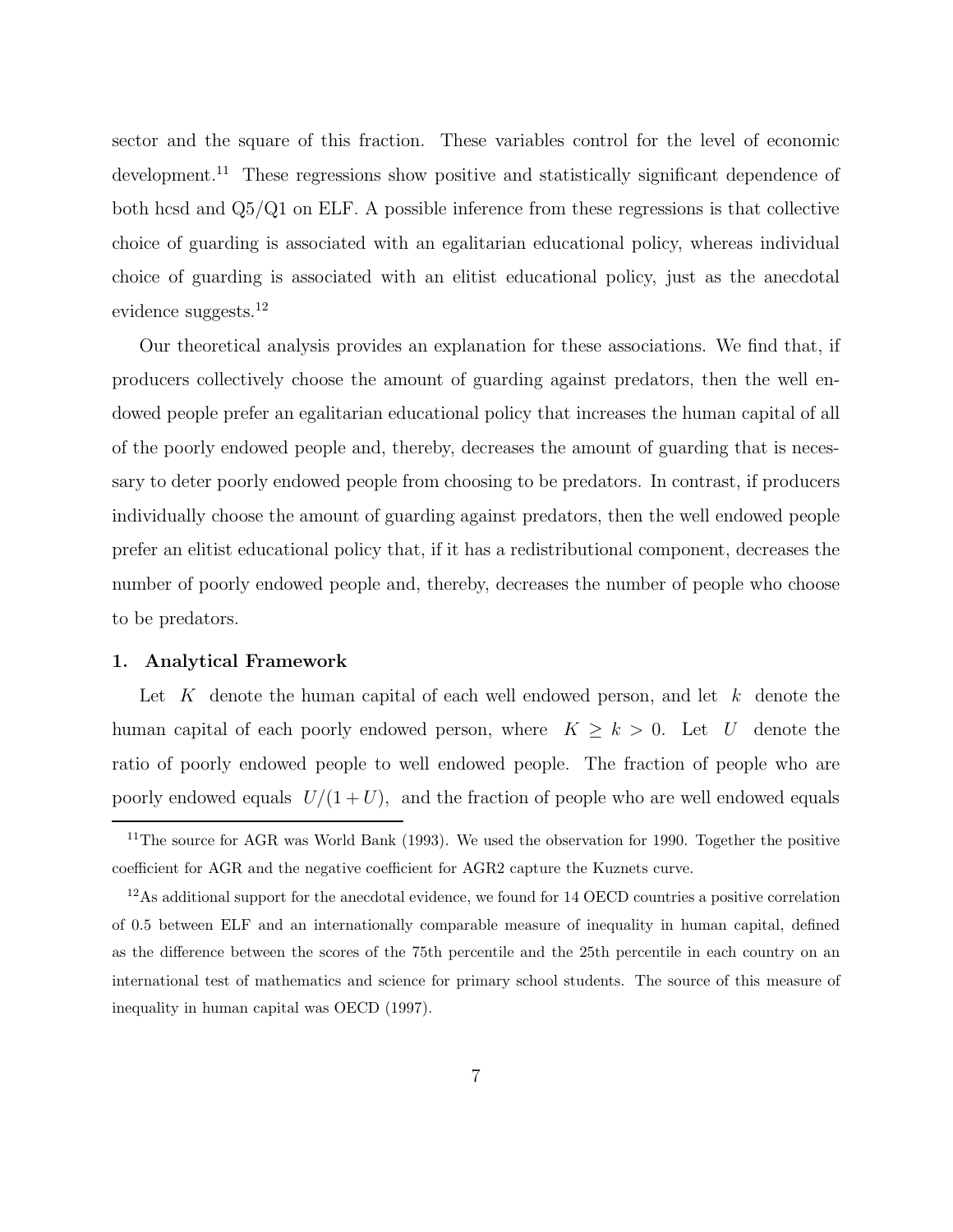sector and the square of this fraction. These variables control for the level of economic development.<sup>11</sup> These regressions show positive and statistically significant dependence of both hcsd and  $Q5/Q1$  on ELF. A possible inference from these regressions is that collective choice of guarding is associated with an egalitarian educational policy, whereas individual choice of guarding is associated with an elitist educational policy, just as the anecdotal evidence suggests.<sup>12</sup>

Our theoretical analysis provides an explanation for these associations. We find that,if producers collectively choose the amount of guarding against predators, then the well endowed people prefer an egalitarian educational policy that increases the human capital of all of the poorly endowed people and, thereby, decreases the amount of guarding that is necessary to deter poorly endowed people from choosing to be predators. In contrast, if producers individually choose the amount of guarding against predators, then the well endowed people prefer an elitist educational policy that, if it has a redistributional component, decreases the number of poorly endowed people and, thereby, decreases the number of people who choose to be predators.

#### **1. Analytical Framework**

Let K denote the human capital of each well endowed person, and let  $k$  denote the human capital of each poorly endowed person, where  $K \geq k > 0$ . Let U denote the ratio of poorly endowed people to well endowed people. The fraction of people who are poorly endowed equals  $U/(1+U)$ , and the fraction of people who are well endowed equals

<sup>&</sup>lt;sup>11</sup>The source for AGR was World Bank (1993). We used the observation for 1990. Together the positive coefficient for AGR and the negative coefficient for AGR2 capture the Kuznets curve.

 $12\text{As additional support for the anecdotial evidence, we found for 14 OECD countries a positive correlation.}$ of 0.5 between ELF and an internationally comparable measure of inequality in human capital, defined as the difference between the scores of the 75th percentile and the 25th percentile in each country on an international test of mathematics and science for primary school students.The source of this measure of inequality in human capital was OECD (1997).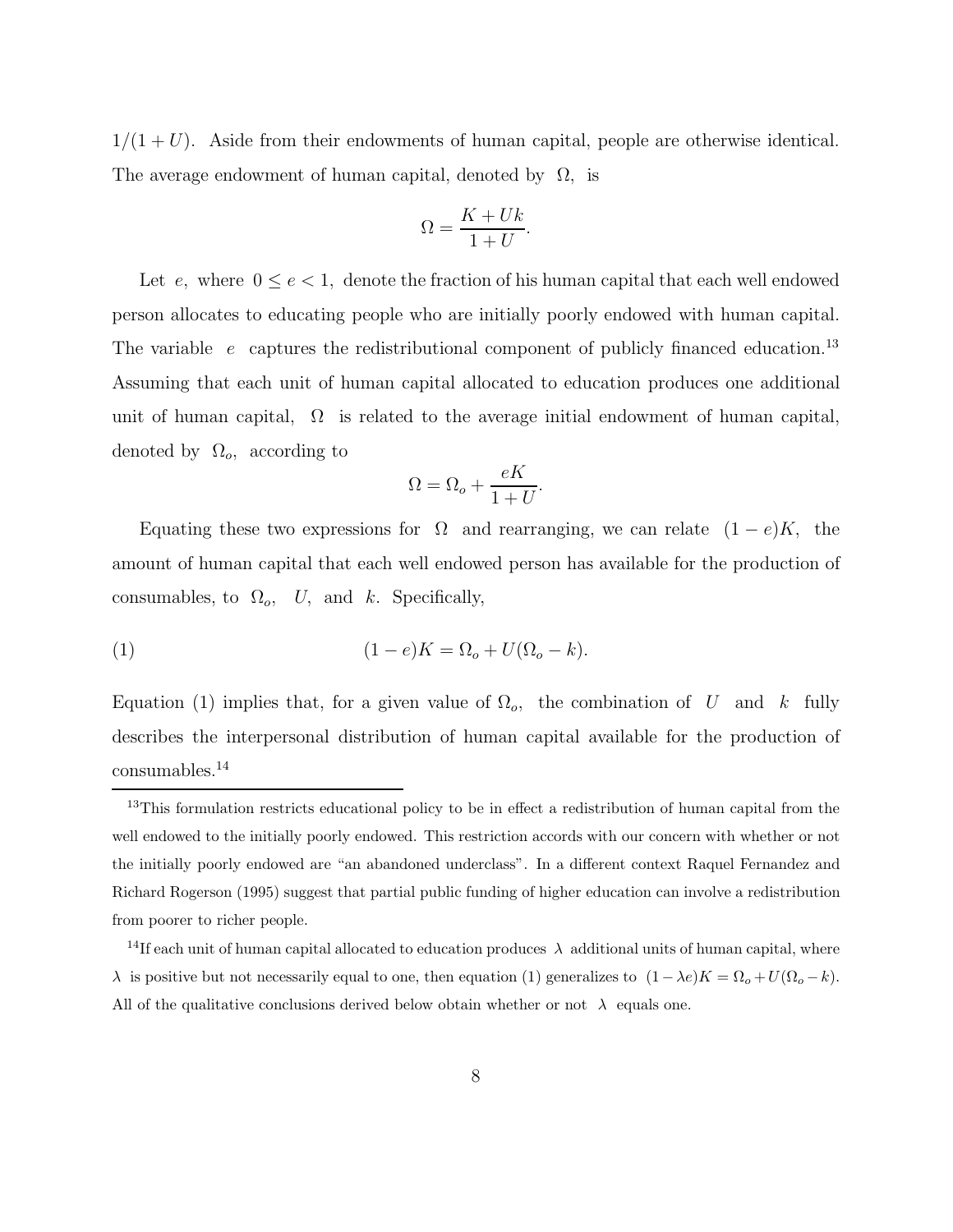$1/(1+U)$ . Aside from their endowments of human capital, people are otherwise identical. The average endowment of human capital, denoted by  $\Omega$ , is

$$
\Omega = \frac{K + Uk}{1 + U}.
$$

Let  $e$ , where  $0 \le e < 1$ , denote the fraction of his human capital that each well endowed person allocates to educating people who are initially poorly endowed with human capital. The variable e captures the redistributional component of publicly financed education.<sup>13</sup> Assuming that each unit of human capital allocated to education produces one additional unit of human capital,  $\Omega$  is related to the average initial endowment of human capital, denoted by  $\Omega_o$ , according to

$$
\Omega = \Omega_o + \frac{eK}{1+U}.
$$

Equating these two expressions for  $\Omega$  and rearranging, we can relate  $(1-e)K$ , the amount of human capital that each well endowed person has available for the production of consumables, to  $\Omega_o$ , U, and k. Specifically,

(1) 
$$
(1-e)K = \Omega_o + U(\Omega_o - k).
$$

Equation (1) implies that, for a given value of  $\Omega_o$ , the combination of U and k fully describes the interpersonal distribution of human capital available for the production of consumables.<sup>14</sup>

<sup>&</sup>lt;sup>13</sup>This formulation restricts educational policy to be in effect a redistribution of human capital from the well endowed to the initially poorly endowed. This restriction accords with our concern with whether or not the initially poorly endowed are "an abandoned underclass".In a different context Raquel Fernandez and Richard Rogerson (1995) suggest that partial public funding of higher education can involve a redistribution from poorer to richer people.

<sup>&</sup>lt;sup>14</sup>If each unit of human capital allocated to education produces  $\lambda$  additional units of human capital, where λ is positive but not necessarily equal to one, then equation (1) generalizes to  $(1 - \lambda e)K = \Omega_o + U(\Omega_o - k)$ . All of the qualitative conclusions derived below obtain whether or not  $\lambda$  equals one.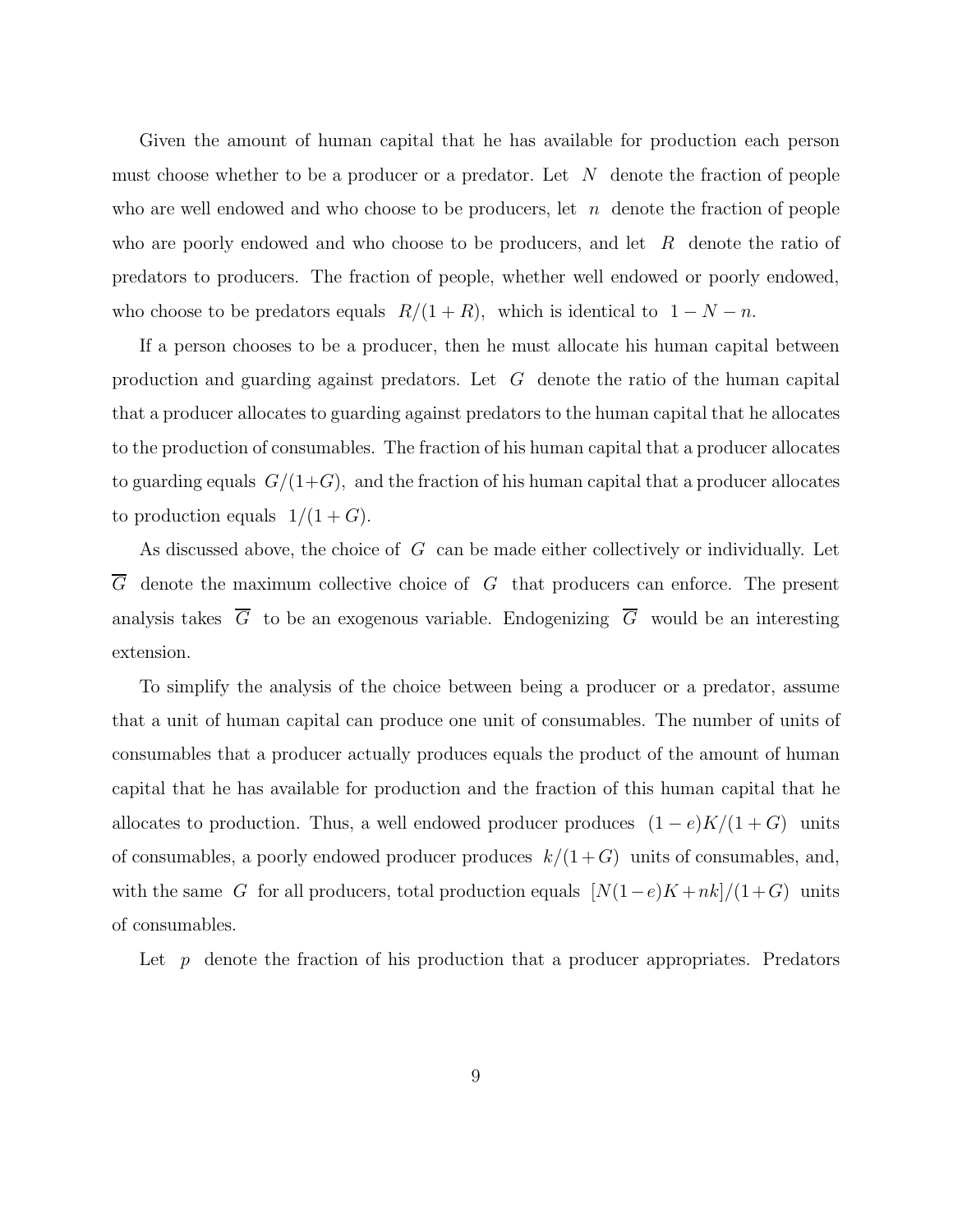Given the amount of human capital that he has available for production each person must choose whether to be a producer or a predator. Let  $N$  denote the fraction of people who are well endowed and who choose to be producers, let  $n$  denote the fraction of people who are poorly endowed and who choose to be producers, and let  $R$  denote the ratio of predators to producers. The fraction of people, whether well endowed or poorly endowed, who choose to be predators equals  $R/(1 + R)$ , which is identical to  $1 - N - n$ .

If a person chooses to be a producer, then he must allocate his human capital between production and guarding against predators. Let  $G$  denote the ratio of the human capital that a producer allocates to guarding against predators to the human capital that he allocates to the production of consumables. The fraction of his human capital that a producer allocates to guarding equals  $G/(1+G)$ , and the fraction of his human capital that a producer allocates to production equals  $1/(1+G)$ .

As discussed above, the choice of  $G$  can be made either collectively or individually. Let  $\overline{G}$  denote the maximum collective choice of G that producers can enforce. The present analysis takes  $\overline{G}$  to be an exogenous variable. Endogenizing  $\overline{G}$  would be an interesting extension.

To simplify the analysis of the choice between being a producer or a predator, assume that a unit of human capital can produce one unit of consumables. The number of units of consumables that a producer actually produces equals the product of the amount of human capital that he has available for production and the fraction of this human capital that he allocates to production. Thus, a well endowed producer produces  $(1 - e)K/(1 + G)$  units of consumables, a poorly endowed producer produces  $k/(1+G)$  units of consumables, and, with the same G for all producers, total production equals  $[N(1-e)K + nk]/(1+G)$  units of consumables.

Let  $p$  denote the fraction of his production that a producer appropriates. Predators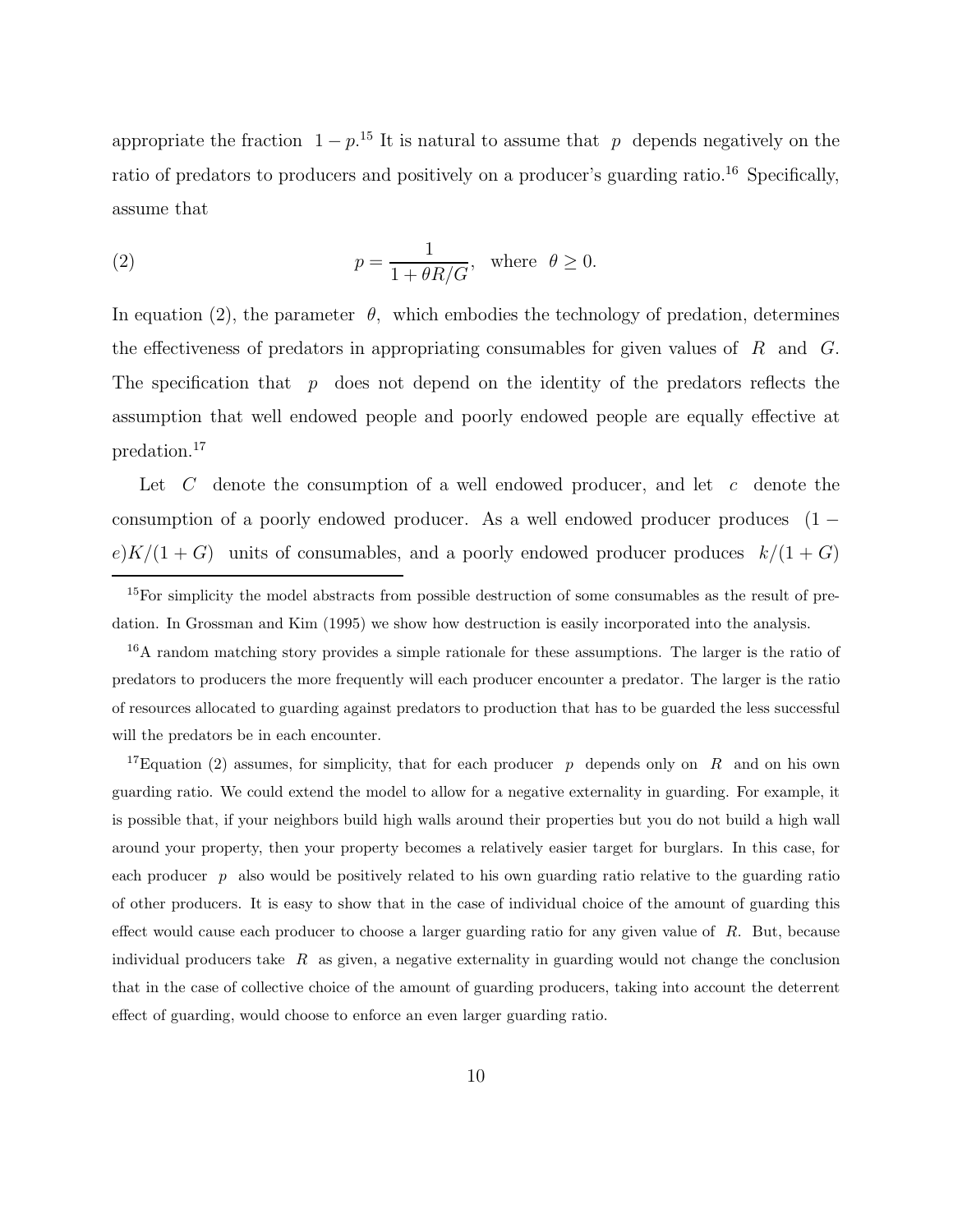appropriate the fraction  $1 - p^{15}$  It is natural to assume that p depends negatively on the ratio of predators to producers and positively on a producer's guarding ratio.<sup>16</sup> Specifically, assume that

(2) 
$$
p = \frac{1}{1 + \theta R / G}, \text{ where } \theta \ge 0.
$$

In equation (2), the parameter  $\theta$ , which embodies the technology of predation, determines the effectiveness of predators in appropriating consumables for given values of  $R$  and  $G$ . The specification that  $p$  does not depend on the identity of the predators reflects the assumption that well endowed people and poorly endowed people are equally effective at predation.<sup>17</sup>

Let  $C$  denote the consumption of a well endowed producer, and let  $c$  denote the consumption of a poorly endowed producer. As a well endowed producer produces (1 −  $e)K/(1+G)$  units of consumables, and a poorly endowed producer produces  $k/(1+G)$ 

<sup>16</sup>A random matching story provides a simple rationale for these assumptions. The larger is the ratio of predators to producers the more frequently will each producer encounter a predator.The larger is the ratio of resources allocated to guarding against predators to production that has to be guarded the less successful will the predators be in each encounter.

<sup>17</sup>Equation (2) assumes, for simplicity, that for each producer p depends only on R and on his own guarding ratio.We could extend the model to allow for a negative externality in guarding.For example, it is possible that, if your neighbors build high walls around their properties but you do not build a high wall around your property, then your property becomes a relatively easier target for burglars.In this case, for each producer  $p$  also would be positively related to his own guarding ratio relative to the guarding ratio of other producers.It is easy to show that in the case of individual choice of the amount of guarding this effect would cause each producer to choose a larger guarding ratio for any given value of  $R$ . But, because individual producers take  $R$  as given, a negative externality in guarding would not change the conclusion that in the case of collective choice of the amount of guarding producers, taking into account the deterrent effect of guarding, would choose to enforce an even larger guarding ratio.

<sup>&</sup>lt;sup>15</sup>For simplicity the model abstracts from possible destruction of some consumables as the result of predation. In Grossman and Kim (1995) we show how destruction is easily incorporated into the analysis.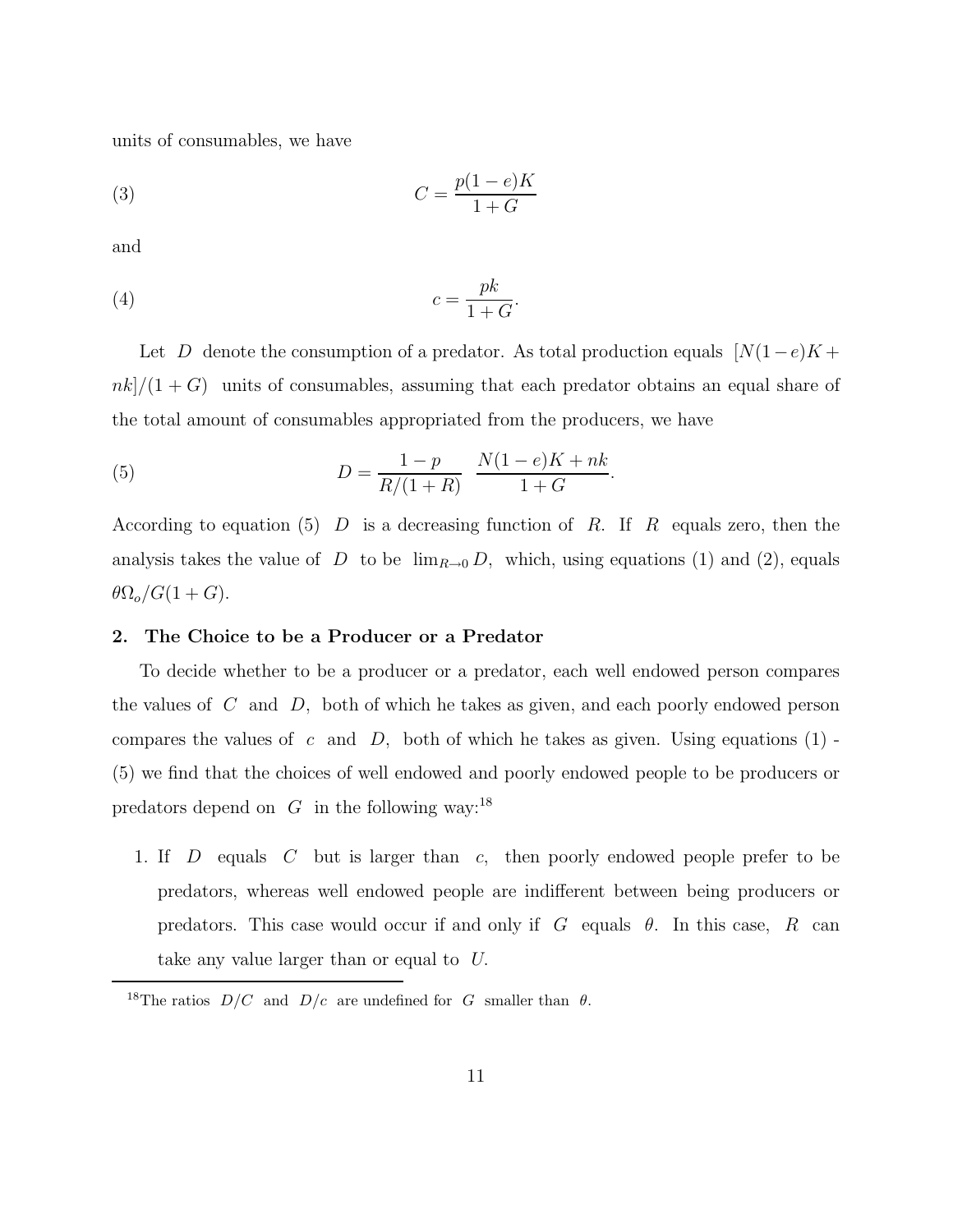units of consumables, we have

$$
(3) \t\t C = \frac{p(1-e)K}{1+G}
$$

and

$$
(4) \t\t\t c = \frac{pk}{1+G}.
$$

Let D denote the consumption of a predator. As total production equals  $[N(1-e)K +$  $nk]/(1+G)$  units of consumables, assuming that each predator obtains an equal share of the total amount of consumables appropriated from the producers, we have

(5) 
$$
D = \frac{1-p}{R/(1+R)} \frac{N(1-e)K + nk}{1+G}.
$$

According to equation (5) D is a decreasing function of R. If R equals zero, then the analysis takes the value of D to be  $\lim_{R\to 0} D$ , which, using equations (1) and (2), equals  $\theta \Omega_o/G(1+G).$ 

#### **2. The Choice to be a Producer or a Predator**

To decide whether to be a producer or a predator, each well endowed person compares the values of  $C$  and  $D$ , both of which he takes as given, and each poorly endowed person compares the values of c and  $D$ , both of which he takes as given. Using equations (1) -(5) we find that the choices of well endowed and poorly endowed people to be producers or predators depend on  $G$  in the following way:<sup>18</sup>

1. If D equals C but is larger than c, then poorly endowed people prefer to be predators,whereas well endowed people are indifferent between being producers or predators. This case would occur if and only if  $G$  equals  $\theta$ . In this case, R can take any value larger than or equal to U.

<sup>&</sup>lt;sup>18</sup>The ratios  $D/C$  and  $D/c$  are undefined for G smaller than  $\theta$ .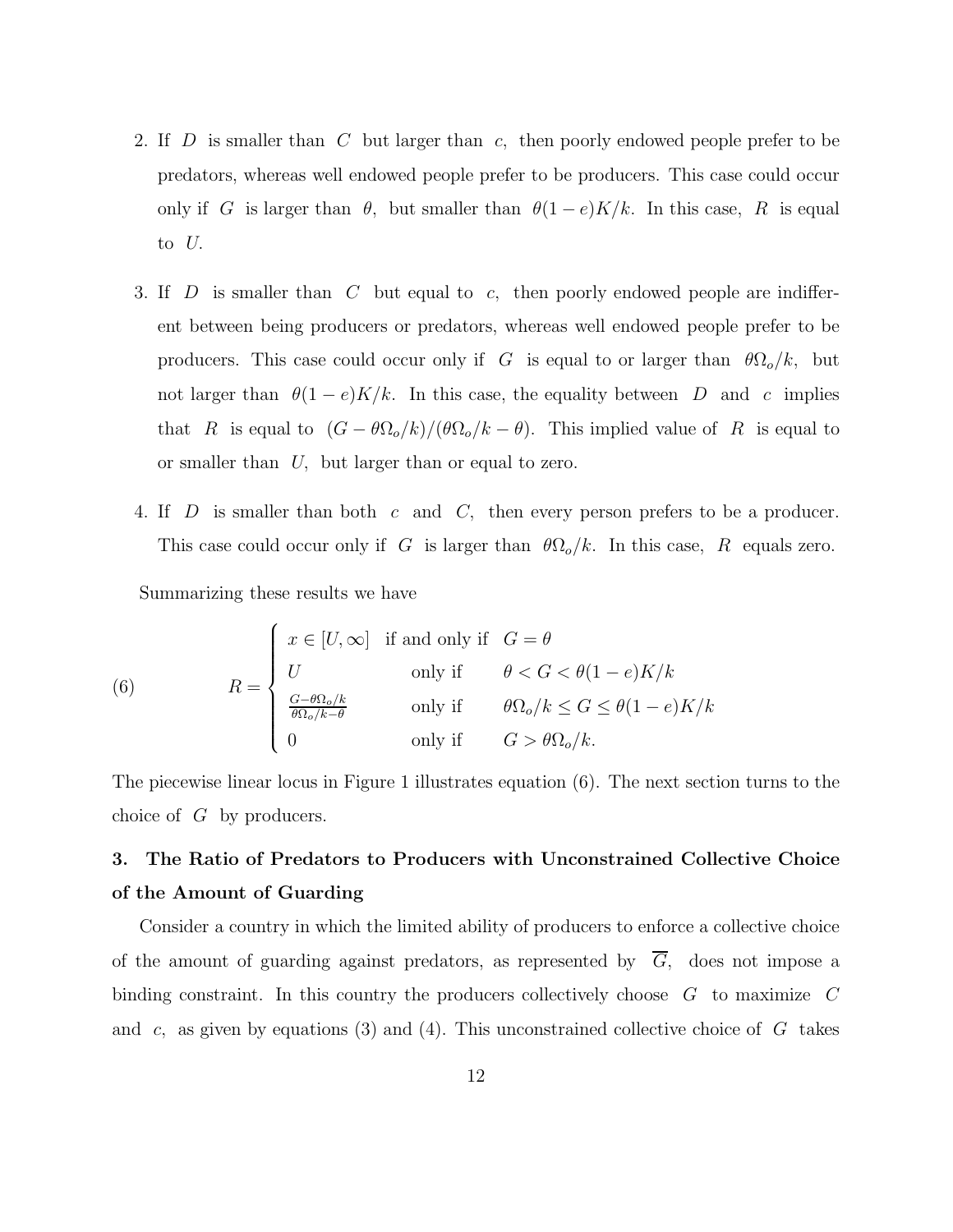- 2. If D is smaller than C but larger than c, then poorly endowed people prefer to be predators,whereas well endowed people prefer to be producers. This case could occur only if G is larger than  $\theta$ , but smaller than  $\theta(1-e)K/k$ . In this case, R is equal to U.
- 3. If  $D$  is smaller than  $C$  but equal to  $c$ , then poorly endowed people are indifferent between being producers or predators, whereas well endowed people prefer to be producers. This case could occur only if G is equal to or larger than  $\theta \Omega_o/k$ , but not larger than  $\theta(1-e)K/k$ . In this case, the equality between D and c implies that R is equal to  $(G - \theta \Omega_o/k)/(\theta \Omega_o/k - \theta)$ . This implied value of R is equal to or smaller than U, but larger than or equal to zero.
- 4. If D is smaller than both c and C, then every person prefers to be a producer. This case could occur only if G is larger than  $\theta \Omega_o/k$ . In this case, R equals zero.

Summarizing these results we have

(6) 
$$
R = \begin{cases} x \in [U, \infty] & \text{if and only if} \quad G = \theta \\ U & \text{only if} \quad \theta < G < \theta(1 - e)K/k \\ \frac{G - \theta \Omega_o / k}{\theta \Omega_o / k - \theta} & \text{only if} \quad \theta \Omega_o / k \le G \le \theta(1 - e)K/k \\ 0 & \text{only if} \quad G > \theta \Omega_o / k. \end{cases}
$$

The piecewise linear locus in Figure 1 illustrates equation (6). The next section turns to the choice of G by producers.

### **3. The Ratio of Predators to Producers with Unconstrained Collective Choice of the Amount of Guarding**

Consider a country in which the limited ability of producers to enforce a collective choice of the amount of guarding against predators, as represented by  $\overline{G}$ , does not impose a binding constraint. In this country the producers collectively choose G to maximize C and c, as given by equations (3) and (4). This unconstrained collective choice of  $G$  takes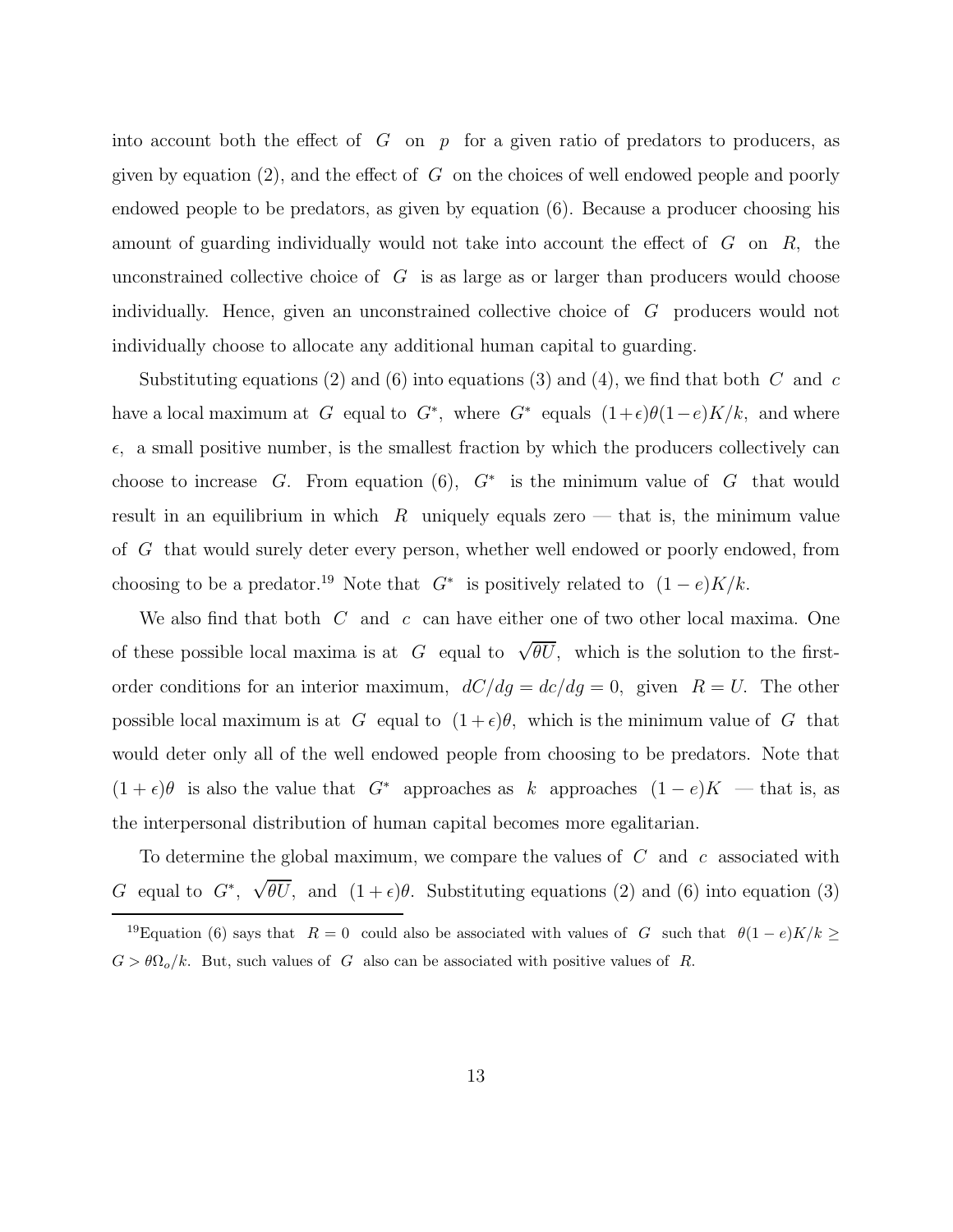into account both the effect of  $G$  on  $p$  for a given ratio of predators to producers, as given by equation (2), and the effect of  $G$  on the choices of well endowed people and poorly endowed people to be predators, as given by equation  $(6)$ . Because a producer choosing his amount of guarding individually would not take into account the effect of G on R, the unconstrained collective choice of  $G$  is as large as or larger than producers would choose individually. Hence, given an unconstrained collective choice of  $G$  producers would not individually choose to allocate any additional human capital to guarding.

Substituting equations (2) and (6) into equations (3) and (4), we find that both C and c have a local maximum at G equal to G<sup>\*</sup>, where G<sup>\*</sup> equals  $(1+\epsilon)\theta(1-e)K/k$ , and where  $\epsilon$ , a small positive number, is the smallest fraction by which the producers collectively can choose to increase G. From equation (6),  $G^*$  is the minimum value of G that would result in an equilibrium in which  $R$  uniquely equals zero  $-$  that is, the minimum value of  $G$  that would surely deter every person, whether well endowed or poorly endowed, from choosing to be a predator.<sup>19</sup> Note that  $G^*$  is positively related to  $(1-e)K/k$ .

We also find that both  $C$  and  $c$  can have either one of two other local maxima. One of these possible local maxima is at G equal to  $\sqrt{\theta U}$ , which is the solution to the firstorder conditions for an interior maximum,  $dC/dg = dc/dg = 0$ , given  $R = U$ . The other possible local maximum is at G equal to  $(1 + \epsilon)\theta$ , which is the minimum value of G that would deter only all of the well endowed people from choosing to be predators. Note that  $(1 + \epsilon)\theta$  is also the value that G<sup>\*</sup> approaches as k approaches  $(1 - e)K$  — that is, as the interpersonal distribution of human capital becomes more egalitarian.

To determine the global maximum, we compare the values of  $C$  and  $c$  associated with G equal to  $G^*$ ,  $\sqrt{\theta U}$ , and  $(1+\epsilon)\theta$ . Substituting equations (2) and (6) into equation (3)

<sup>&</sup>lt;sup>19</sup>Equation (6) says that  $R = 0$  could also be associated with values of G such that  $\theta(1-e)K/k \ge$  $G > \theta \Omega_o/k$ . But, such values of G also can be associated with positive values of R.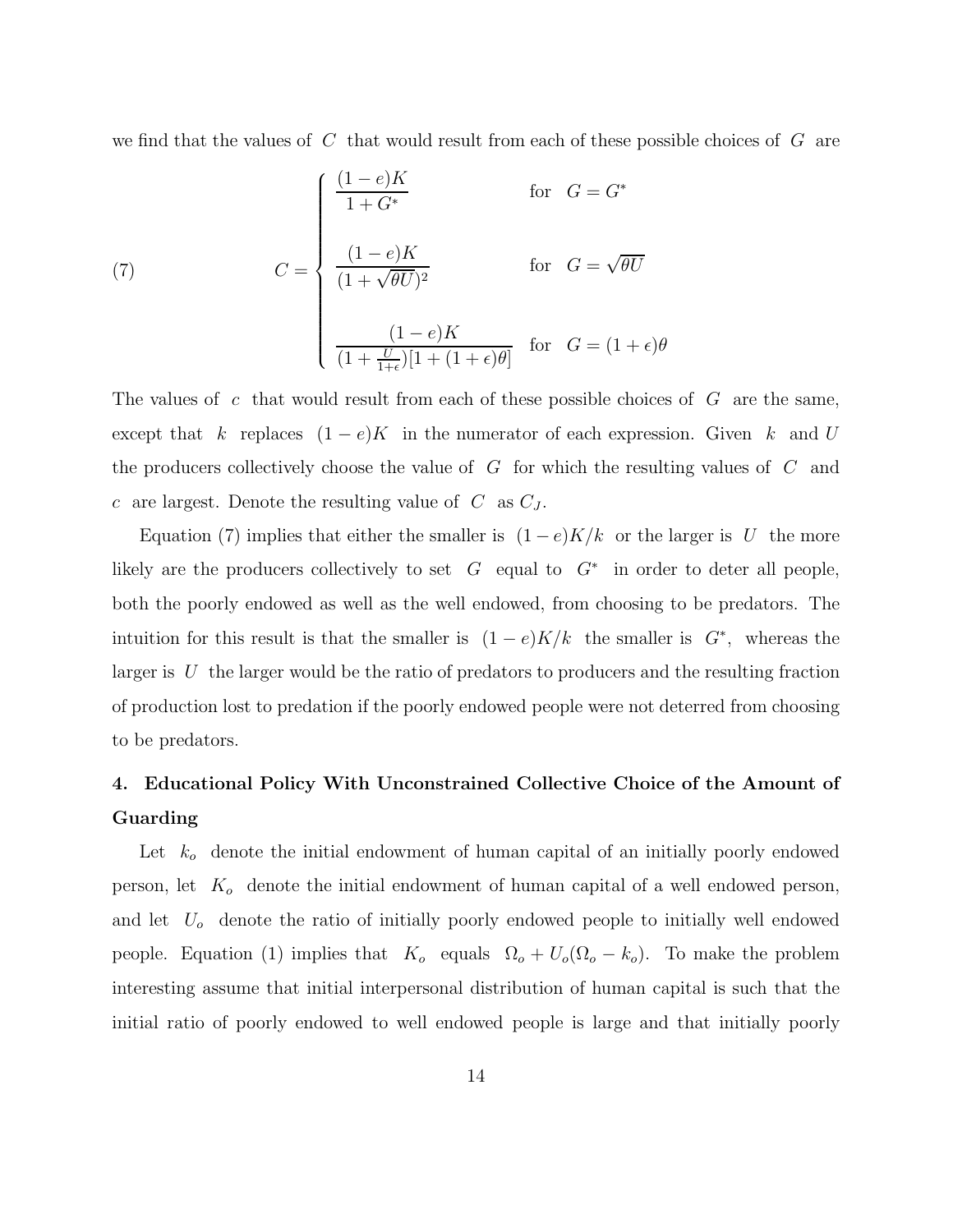we find that the values of  $C$  that would result from each of these possible choices of  $G$  are

(7) 
$$
C = \begin{cases} \frac{(1-e)K}{1+G^*} & \text{for } G = G^* \\ \frac{(1-e)K}{(1+\sqrt{\theta U})^2} & \text{for } G = \sqrt{\theta U} \\ \frac{(1-e)K}{(1+\frac{U}{1+\epsilon})[1+(1+\epsilon)\theta]} & \text{for } G = (1+\epsilon)\theta \end{cases}
$$

The values of c that would result from each of these possible choices of  $G$  are the same, except that k replaces  $(1 - e)K$  in the numerator of each expression. Given k and U the producers collectively choose the value of  $G$  for which the resulting values of  $C$  and c are largest. Denote the resulting value of  $C$  as  $C_J$ .

Equation (7) implies that either the smaller is  $(1-e)K/k$  or the larger is U the more likely are the producers collectively to set  $G$  equal to  $G^*$  in order to deter all people, both the poorly endowed as well as the well endowed, from choosing to be predators. The intuition for this result is that the smaller is  $(1 - e)K/k$  the smaller is  $G^*$ , whereas the larger is  $U$  the larger would be the ratio of predators to producers and the resulting fraction of production lost to predation if the poorly endowed people were not deterred from choosing to be predators.

### **4. Educational Policy With Unconstrained Collective Choice of the Amount of Guarding**

Let  $k_o$  denote the initial endowment of human capital of an initially poorly endowed person, let  $K_o$  denote the initial endowment of human capital of a well endowed person, and let  $U<sub>o</sub>$  denote the ratio of initially poorly endowed people to initially well endowed people. Equation (1) implies that  $K_o$  equals  $\Omega_o + U_o(\Omega_o - k_o)$ . To make the problem interesting assume that initial interpersonal distribution of human capital is such that the initial ratio of poorly endowed to well endowed people is large and that initially poorly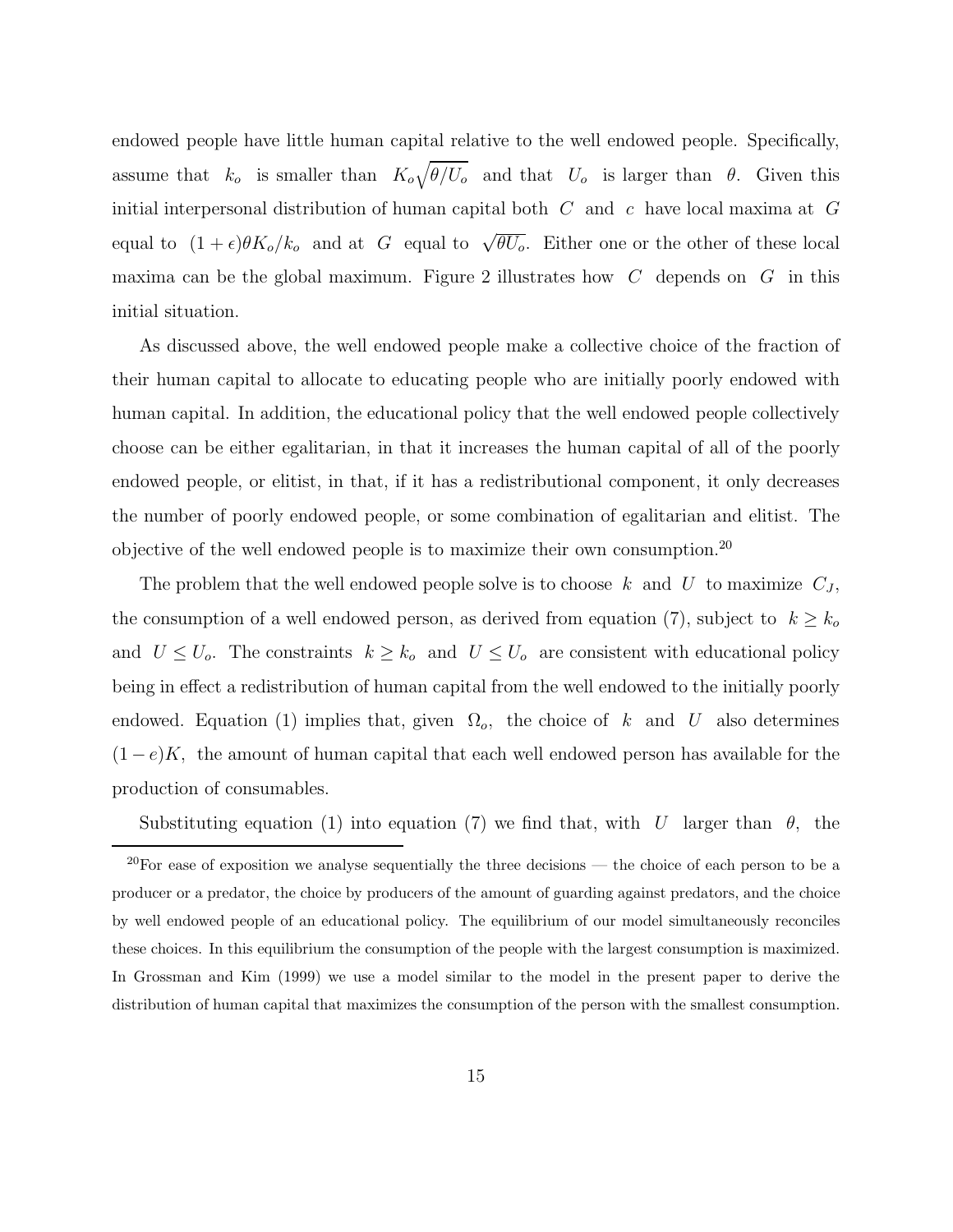endowed people have little human capital relative to the well endowed people. Specifically, assume that  $k_o$  is smaller than  $K_o\sqrt{\theta/U_o}$  and that  $U_o$  is larger than  $\theta$ . Given this initial interpersonal distribution of human capital both  $C$  and  $c$  have local maxima at  $G$ equal to  $(1 + \epsilon)\theta K_o/k_o$  and at G equal to  $\sqrt{\theta U_o}$ . Either one or the other of these local maxima can be the global maximum. Figure 2 illustrates how  $C$  depends on  $G$  in this initial situation.

As discussed above, the well endowed people make a collective choice of the fraction of their human capital to allocate to educating people who are initially poorly endowed with human capital. In addition, the educational policy that the well endowed people collectively choose can be either egalitarian, in that it increases the human capital of all of the poorly endowed people, or elitist, in that, if it has a redistributional component, it only decreases the number of poorly endowed people, or some combination of egalitarian and elitist. The objective of the well endowed people is to maximize their own consumption.<sup>20</sup>

The problem that the well endowed people solve is to choose k and U to maximize  $C_J$ , the consumption of a well endowed person, as derived from equation (7), subject to  $k \geq k_o$ and  $U \leq U_o$ . The constraints  $k \geq k_o$  and  $U \leq U_o$  are consistent with educational policy being in effect a redistribution of human capital from the well endowed to the initially poorly endowed. Equation (1) implies that, given  $\Omega_o$ , the choice of k and U also determines  $(1-e)K$ , the amount of human capital that each well endowed person has available for the production of consumables.

Substituting equation (1) into equation (7) we find that, with U larger than  $\theta$ , the

 $20$ For ease of exposition we analyse sequentially the three decisions — the choice of each person to be a producer or a predator, the choice by producers of the amount of guarding against predators, and the choice by well endowed people of an educational policy. The equilibrium of our model simultaneously reconciles these choices.In this equilibrium the consumption of the people with the largest consumption is maximized. In Grossman and Kim (1999) we use a model similar to the model in the present paper to derive the distribution of human capital that maximizes the consumption of the person with the smallest consumption.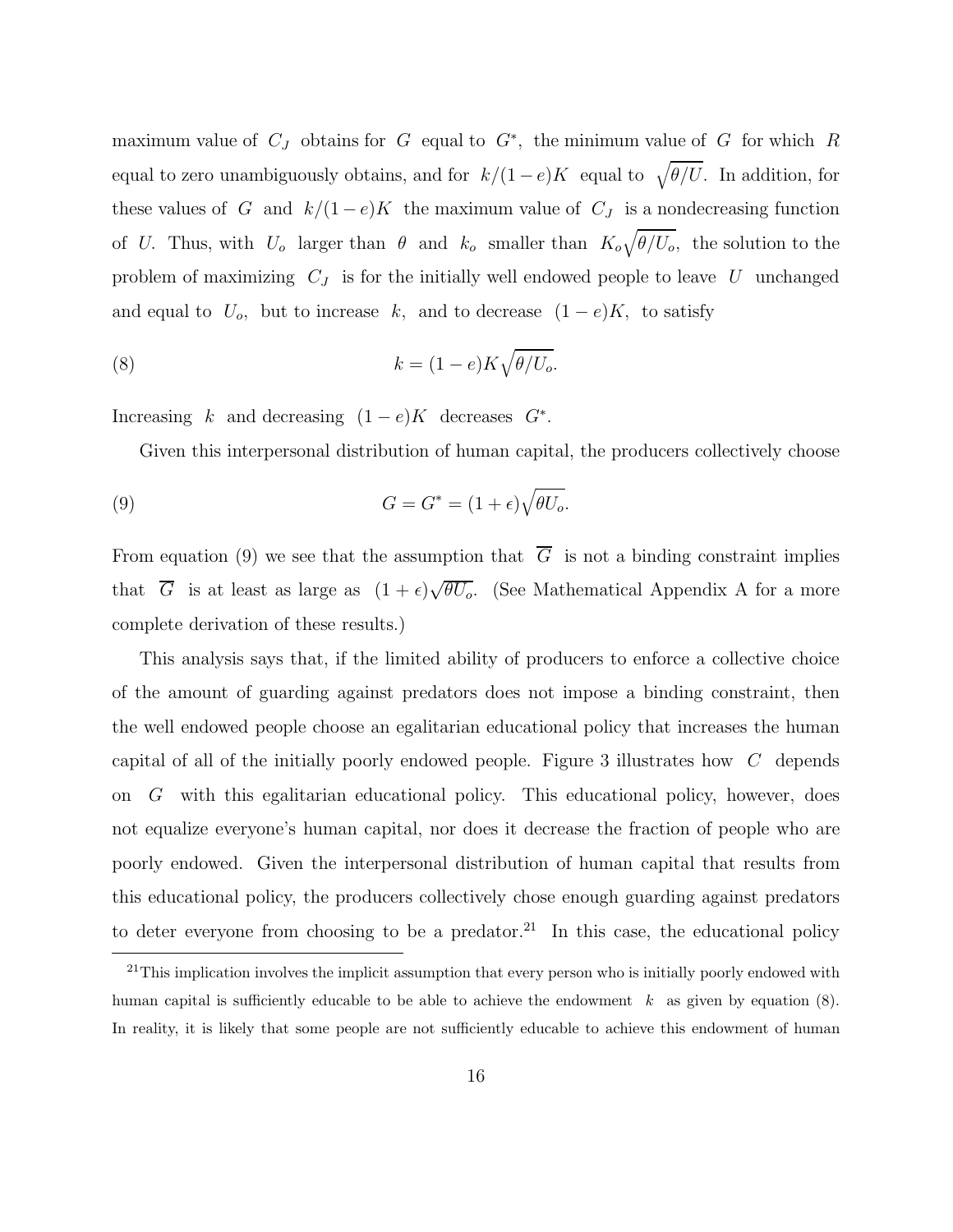maximum value of  $C_J$  obtains for G equal to  $G^*$ , the minimum value of G for which R equal to zero unambiguously obtains, and for  $k/(1-e)K$  equal to  $\sqrt{\theta/U}$ . In addition, for these values of G and  $k/(1-e)K$  the maximum value of  $C_J$  is a nondecreasing function of U. Thus, with  $U_o$  larger than  $\theta$  and  $k_o$  smaller than  $K_o\sqrt{\theta/U_o}$ , the solution to the problem of maximizing  $C_J$  is for the initially well endowed people to leave U unchanged and equal to  $U_o$ , but to increase k, and to decrease  $(1-e)K$ , to satisfy

(8) 
$$
k = (1 - e)K\sqrt{\theta/U_o}.
$$

Increasing k and decreasing  $(1 - e)K$  decreases  $G^*$ .

Given this interpersonal distribution of human capital, the producers collectively choose

(9) 
$$
G = G^* = (1 + \epsilon)\sqrt{\theta U_o}.
$$

From equation (9) we see that the assumption that  $\overline{G}$  is not a binding constraint implies that  $\overline{G}$  is at least as large as  $(1 + \epsilon)\sqrt{\theta U_o}$ . (See Mathematical Appendix A for a more complete derivation of these results.)

This analysis says that, if the limited ability of producers to enforce a collective choice of the amount of guarding against predators does not impose a binding constraint, then the well endowed people choose an egalitarian educational policy that increases the human capital of all of the initially poorly endowed people. Figure 3 illustrates how C depends on  $G$  with this egalitarian educational policy. This educational policy, however, does not equalize everyone's human capital, nor does it decrease the fraction of people who are poorly endowed. Given the interpersonal distribution of human capital that results from this educational policy, the producers collectively chose enough guarding against predators to deter everyone from choosing to be a predator.<sup>21</sup> In this case, the educational policy

 $21$ This implication involves the implicit assumption that every person who is initially poorly endowed with human capital is sufficiently educable to be able to achieve the endowment  $k$  as given by equation  $(8)$ . In reality, it is likely that some people are not sufficiently educable to achieve this endowment of human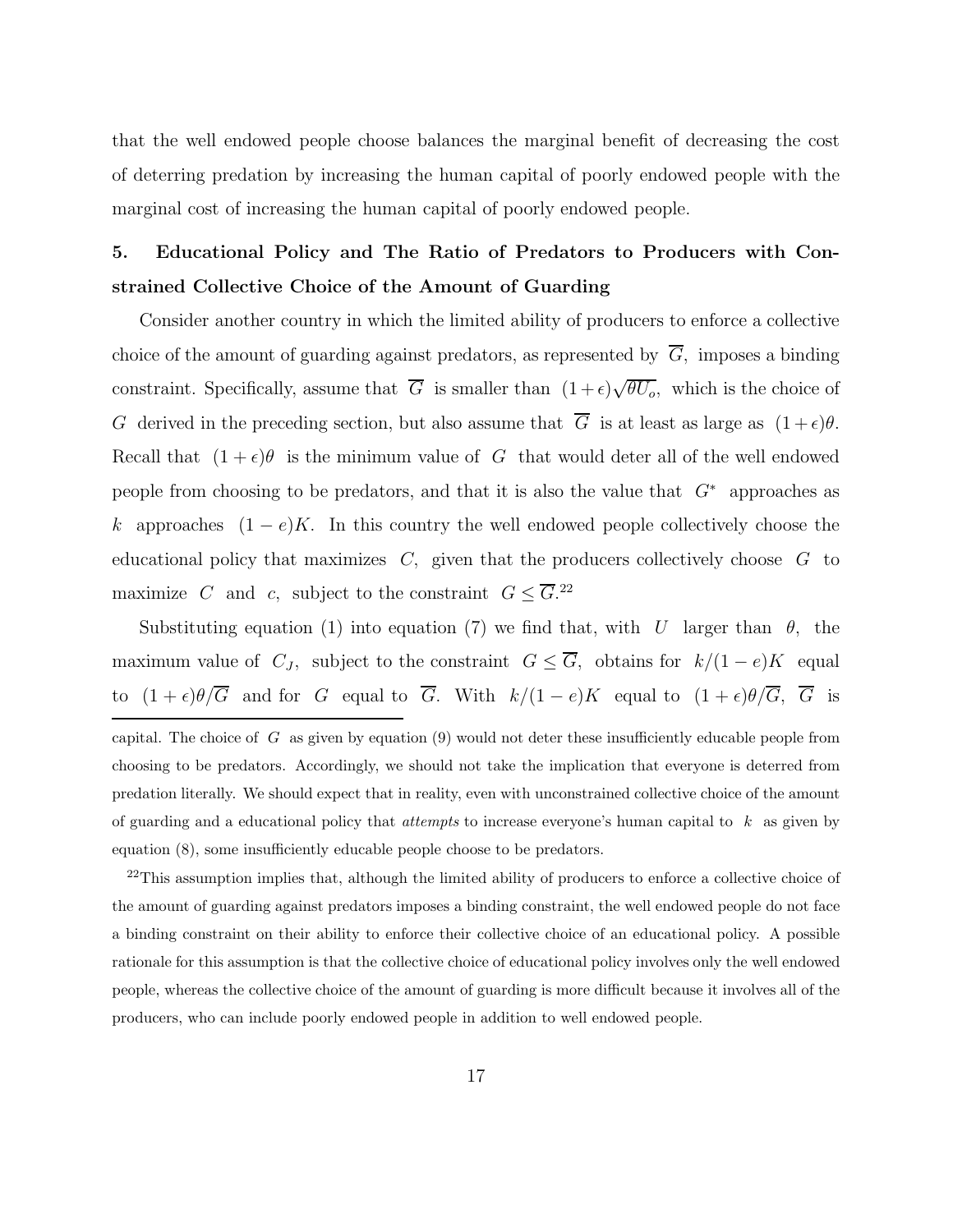that the well endowed people choose balances the marginal benefit of decreasing the cost of deterring predation by increasing the human capital of poorly endowed people with the marginal cost of increasing the human capital of poorly endowed people.

### **5. Educational Policy and The Ratio of Predators to Producers with Constrained Collective Choice of the Amount of Guarding**

Consider another country in which the limited ability of producers to enforce a collective choice of the amount of guarding against predators, as represented by  $\overline{G}$ , imposes a binding constraint. Specifically, assume that  $\overline{G}$  is smaller than  $(1+\epsilon)\sqrt{\theta U_o}$ , which is the choice of G derived in the preceding section, but also assume that  $\overline{G}$  is at least as large as  $(1 + \epsilon)\theta$ . Recall that  $(1 + \epsilon)\theta$  is the minimum value of G that would deter all of the well endowed people from choosing to be predators, and that it is also the value that  $G^*$  approaches as k approaches  $(1-e)K$ . In this country the well endowed people collectively choose the educational policy that maximizes  $C$ , given that the producers collectively choose  $G$  to maximize C and c, subject to the constraint  $G \leq \overline{G}^{22}$ 

Substituting equation (1) into equation (7) we find that, with U larger than  $\theta$ , the maximum value of  $C_J$ , subject to the constraint  $G \leq \overline{G}$ , obtains for  $k/(1-e)K$  equal to  $(1 + \epsilon)\theta/\overline{G}$  and for G equal to  $\overline{G}$ . With  $k/(1 - e)K$  equal to  $(1 + \epsilon)\theta/\overline{G}$ ,  $\overline{G}$  is

<sup>22</sup>This assumption implies that, although the limited ability of producers to enforce a collective choice of the amount of guarding against predators imposes a binding constraint, the well endowed people do not face a binding constraint on their ability to enforce their collective choice of an educational policy.A possible rationale for this assumption is that the collective choice of educational policy involves only the well endowed people, whereas the collective choice of the amount of guarding is more difficult because it involves all of the producers, who can include poorly endowed people in addition to well endowed people.

capital. The choice of  $G$  as given by equation (9) would not deter these insufficiently educable people from choosing to be predators.Accordingly, we should not take the implication that everyone is deterred from predation literally.We should expect that in reality, even with unconstrained collective choice of the amount of guarding and a educational policy that *attempts* to increase everyone's human capital to  $k$  as given by equation (8), some insufficiently educable people choose to be predators.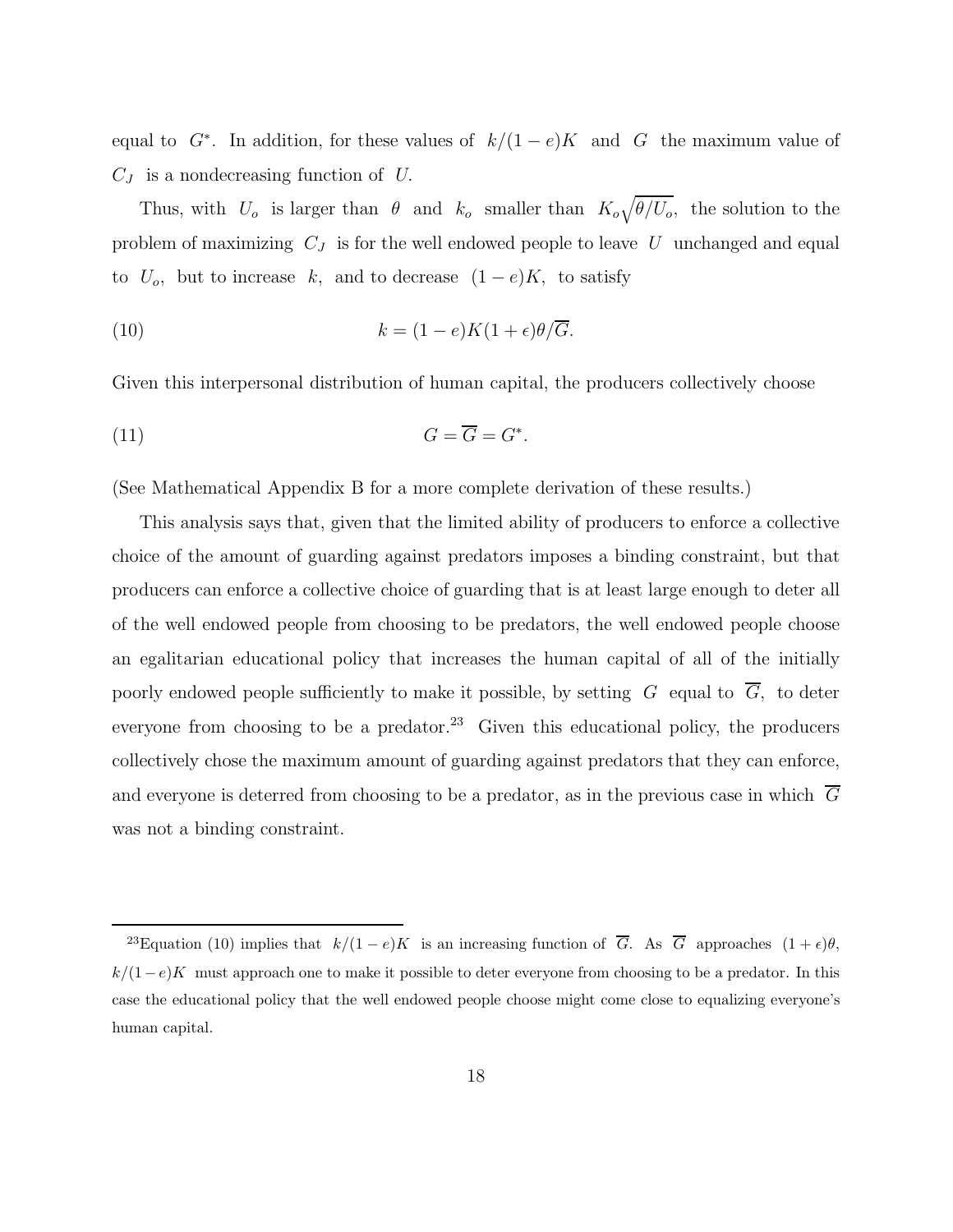equal to  $G^*$ . In addition, for these values of  $k/(1-e)K$  and G the maximum value of  $C_J$  is a nondecreasing function of U.

Thus, with  $U_o$  is larger than  $\theta$  and  $k_o$  smaller than  $K_o\sqrt{\theta/U_o}$ , the solution to the problem of maximizing  $C_J$  is for the well endowed people to leave U unchanged and equal to  $U_o$ , but to increase k, and to decrease  $(1-e)K$ , to satisfy

(10) 
$$
k = (1 - e)K(1 + \epsilon)\theta/\overline{G}.
$$

Given this interpersonal distribution of human capital, the producers collectively choose

$$
(11) \tG = \overline{G} = G^*.
$$

(See Mathematical Appendix B for a more complete derivation of these results.)

This analysis says that, given that the limited ability of producers to enforce a collective choice of the amount of guarding against predators imposes a binding constraint, but that producers can enforce a collective choice of guarding that is at least large enough to deter all of the well endowed people from choosing to be predators, the well endowed people choose an egalitarian educational policy that increases the human capital of all of the initially poorly endowed people sufficiently to make it possible, by setting  $G$  equal to  $\overline{G}$ , to deter everyone from choosing to be a predator.<sup>23</sup> Given this educational policy, the producers collectively chose the maximum amount of guarding against predators that they can enforce, and everyone is deterred from choosing to be a predator, as in the previous case in which  $\overline{G}$ was not a binding constraint.

<sup>&</sup>lt;sup>23</sup>Equation (10) implies that  $k/(1-e)K$  is an increasing function of  $\overline{G}$ . As  $\overline{G}$  approaches  $(1+\epsilon)\theta$ ,  $k/(1-e)K$  must approach one to make it possible to deter everyone from choosing to be a predator. In this case the educational policy that the well endowed people choose might come close to equalizing everyone's human capital.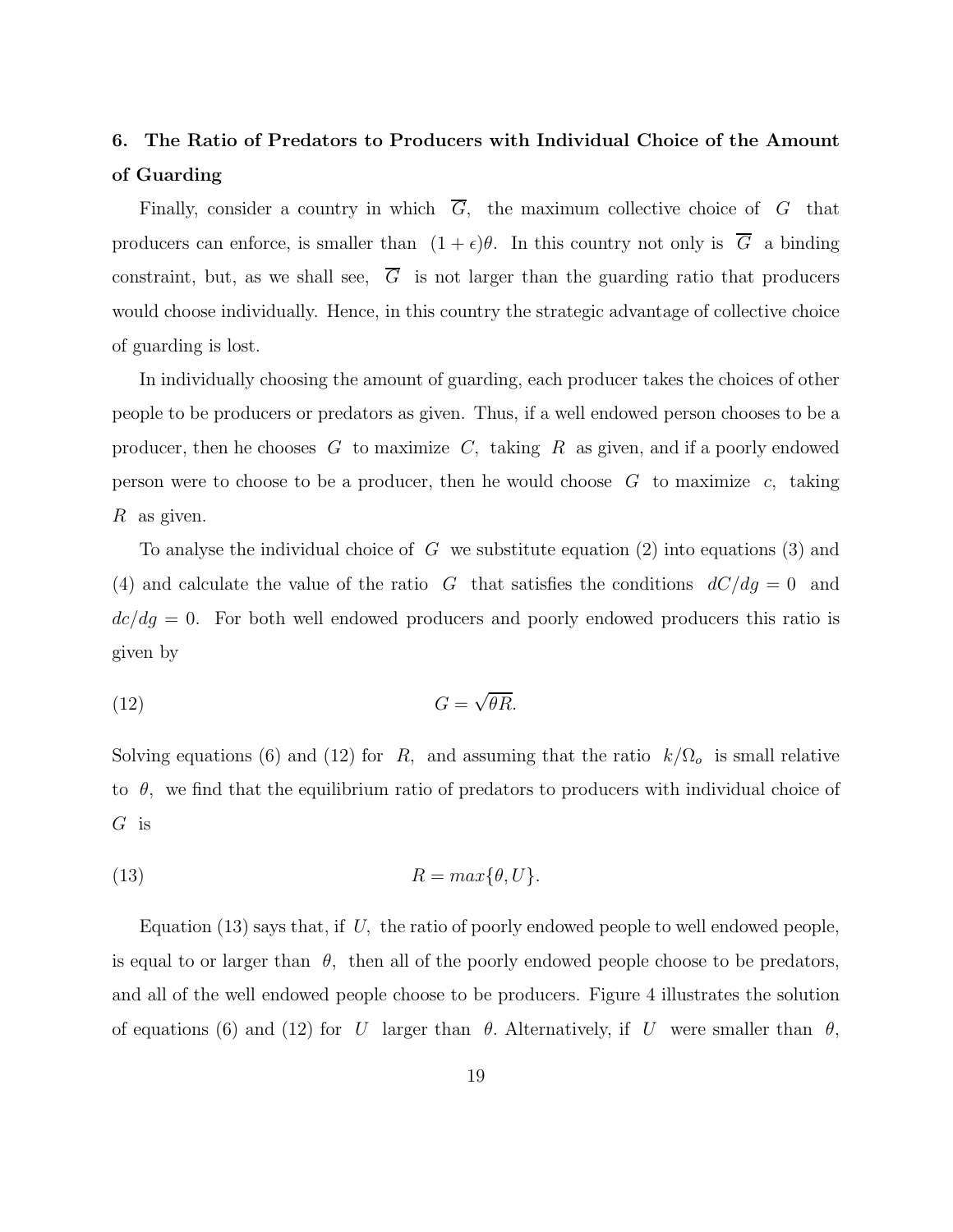### **6. The Ratio of Predators to Producers with Individual Choice of the Amount of Guarding**

Finally, consider a country in which  $\overline{G}$ , the maximum collective choice of G that producers can enforce, is smaller than  $(1 + \epsilon)\theta$ . In this country not only is  $\overline{G}$  a binding constraint, but, as we shall see,  $\overline{G}$  is not larger than the guarding ratio that producers would choose individually. Hence, in this country the strategic advantage of collective choice of guarding is lost.

In individually choosing the amount of guarding, each producer takes the choices of other people to be producers or predators as given. Thus,if a well endowed person chooses to be a producer, then he chooses G to maximize C, taking R as given, and if a poorly endowed person were to choose to be a producer, then he would choose  $G$  to maximize c, taking R as given.

To analyse the individual choice of  $G$  we substitute equation (2) into equations (3) and (4) and calculate the value of the ratio G that satisfies the conditions  $dC/dg = 0$  and  $dc/dg = 0$ . For both well endowed producers and poorly endowed producers this ratio is given by

$$
(12) \tG = \sqrt{\theta R}.
$$

Solving equations (6) and (12) for R, and assuming that the ratio  $k/\Omega_o$  is small relative to  $\theta$ , we find that the equilibrium ratio of predators to producers with individual choice of  $G$  is

(13) 
$$
R = max\{\theta, U\}.
$$

Equation (13) says that, if U, the ratio of poorly endowed people to well endowed people, is equal to or larger than  $\theta$ , then all of the poorly endowed people choose to be predators, and all of the well endowed people choose to be producers. Figure 4 illustrates the solution of equations (6) and (12) for U larger than  $\theta$ . Alternatively, if U were smaller than  $\theta$ ,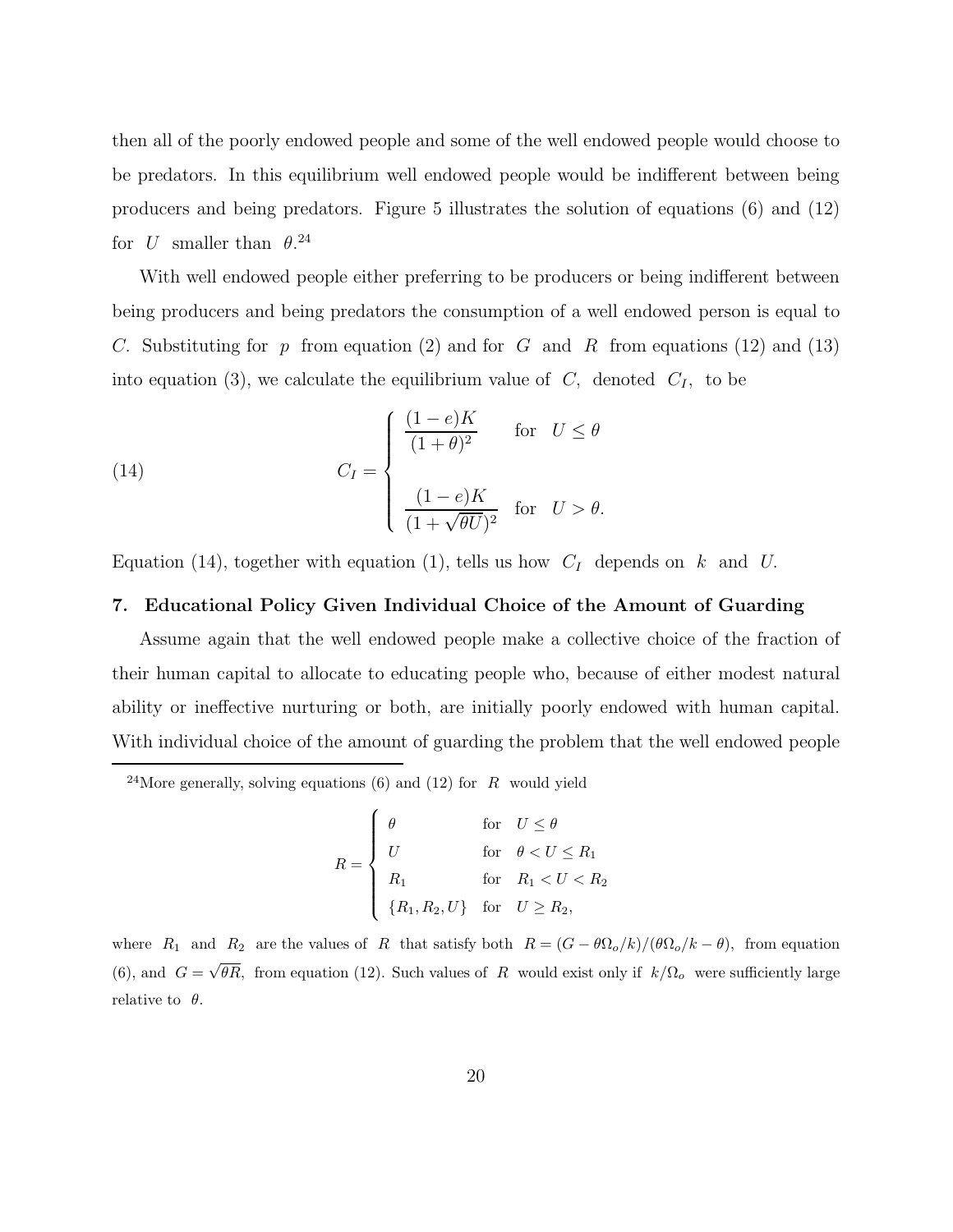then all of the poorly endowed people and some of the well endowed people would choose to be predators. In this equilibrium well endowed people would be indifferent between being producers and being predators. Figure 5 illustrates the solution of equations (6) and (12) for U smaller than  $\theta$ .<sup>24</sup>

With well endowed people either preferring to be producers or being indifferent between being producers and being predators the consumption of a well endowed person is equal to C. Substituting for p from equation (2) and for G and R from equations (12) and (13) into equation (3), we calculate the equilibrium value of  $C$ , denoted  $C_I$ , to be

(14) 
$$
C_I = \begin{cases} \frac{(1-e)K}{(1+\theta)^2} & \text{for } U \leq \theta \\ \frac{(1-e)K}{(1+\sqrt{\theta U})^2} & \text{for } U > \theta. \end{cases}
$$

Equation (14), together with equation (1), tells us how  $C_I$  depends on k and U.

#### **7. Educational Policy Given Individual Choice of the Amount of Guarding**

Assume again that the well endowed people make a collective choice of the fraction of their human capital to allocate to educating people who, because of either modest natural ability or ineffective nurturing or both, are initially poorly endowed with human capital. With individual choice of the amount of guarding the problem that the well endowed people

<sup>24</sup>More generally, solving equations (6) and (12) for R would yield

$$
R = \begin{cases} \theta & \text{for} \quad U \le \theta \\ U & \text{for} \quad \theta < U \le R_1 \\ R_1 & \text{for} \quad R_1 < U < R_2 \\ \{R_1, R_2, U\} & \text{for} \quad U \ge R_2, \end{cases}
$$

where  $R_1$  and  $R_2$  are the values of R that satisfy both  $R = (G - \theta \Omega_o/k)/(\theta \Omega_o/k - \theta)$ , from equation (6), and  $G = \sqrt{\theta R}$ , from equation (12). Such values of R would exist only if  $k/\Omega$ <sub>o</sub> were sufficiently large relative to  $\theta$ .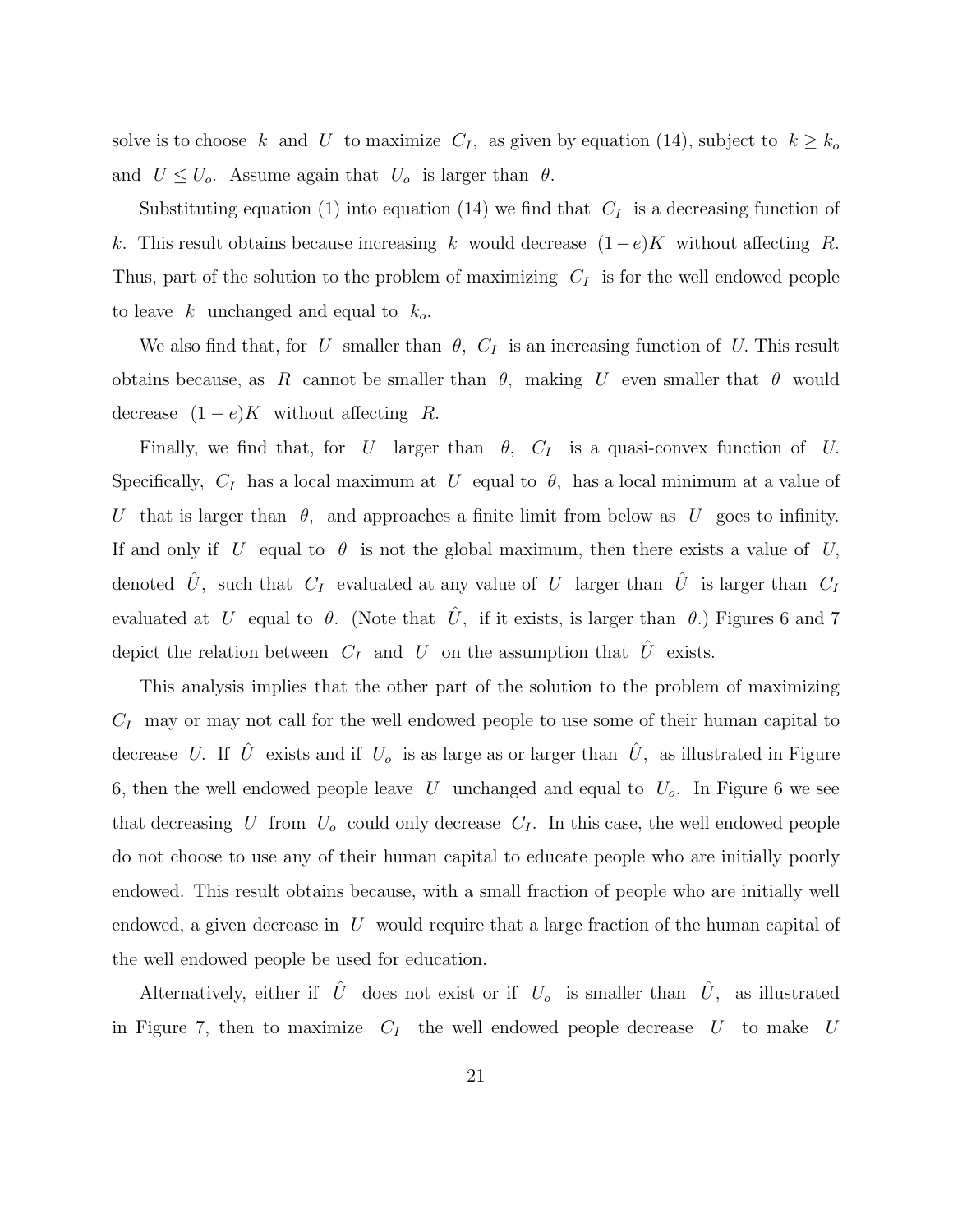solve is to choose k and U to maximize  $C_I$ , as given by equation (14), subject to  $k \geq k_o$ and  $U \leq U_o$ . Assume again that  $U_o$  is larger than  $\theta$ .

Substituting equation (1) into equation (14) we find that  $C_I$  is a decreasing function of k. This result obtains because increasing k would decrease  $(1-e)K$  without affecting R. Thus, part of the solution to the problem of maximizing  $C_I$  is for the well endowed people to leave k unchanged and equal to  $k_o$ .

We also find that, for U smaller than  $\theta$ ,  $C_I$  is an increasing function of U. This result obtains because, as R cannot be smaller than  $\theta$ , making U even smaller that  $\theta$  would decrease  $(1-e)K$  without affecting R.

Finally, we find that, for U larger than  $\theta$ ,  $C_I$  is a quasi-convex function of U. Specifically,  $C_I$  has a local maximum at U equal to  $\theta$ , has a local minimum at a value of U that is larger than  $\theta$ , and approaches a finite limit from below as U goes to infinity. If and only if U equal to  $\theta$  is not the global maximum, then there exists a value of U, denoted  $\hat{U}$ , such that  $C_I$  evaluated at any value of U larger than  $\hat{U}$  is larger than  $C_I$ evaluated at U equal to  $\theta$ . (Note that  $\hat{U}$ , if it exists, is larger than  $\theta$ .) Figures 6 and 7 depict the relation between  $C_I$  and U on the assumption that  $\hat{U}$  exists.

This analysis implies that the other part of the solution to the problem of maximizing  $C_I$  may or may not call for the well endowed people to use some of their human capital to decrease U. If  $\hat{U}$  exists and if  $U_o$  is as large as or larger than  $\hat{U}$ , as illustrated in Figure 6, then the well endowed people leave U unchanged and equal to  $U_o$ . In Figure 6 we see that decreasing U from  $U_o$  could only decrease  $C_I$ . In this case, the well endowed people do not choose to use any of their human capital to educate people who are initially poorly endowed. This result obtains because, with a small fraction of people who are initially well endowed, a given decrease in  $U$  would require that a large fraction of the human capital of the well endowed people be used for education.

Alternatively, either if  $\hat{U}$  does not exist or if  $U_o$  is smaller than  $\hat{U}$ , as illustrated in Figure 7, then to maximize  $C_I$  the well endowed people decrease U to make U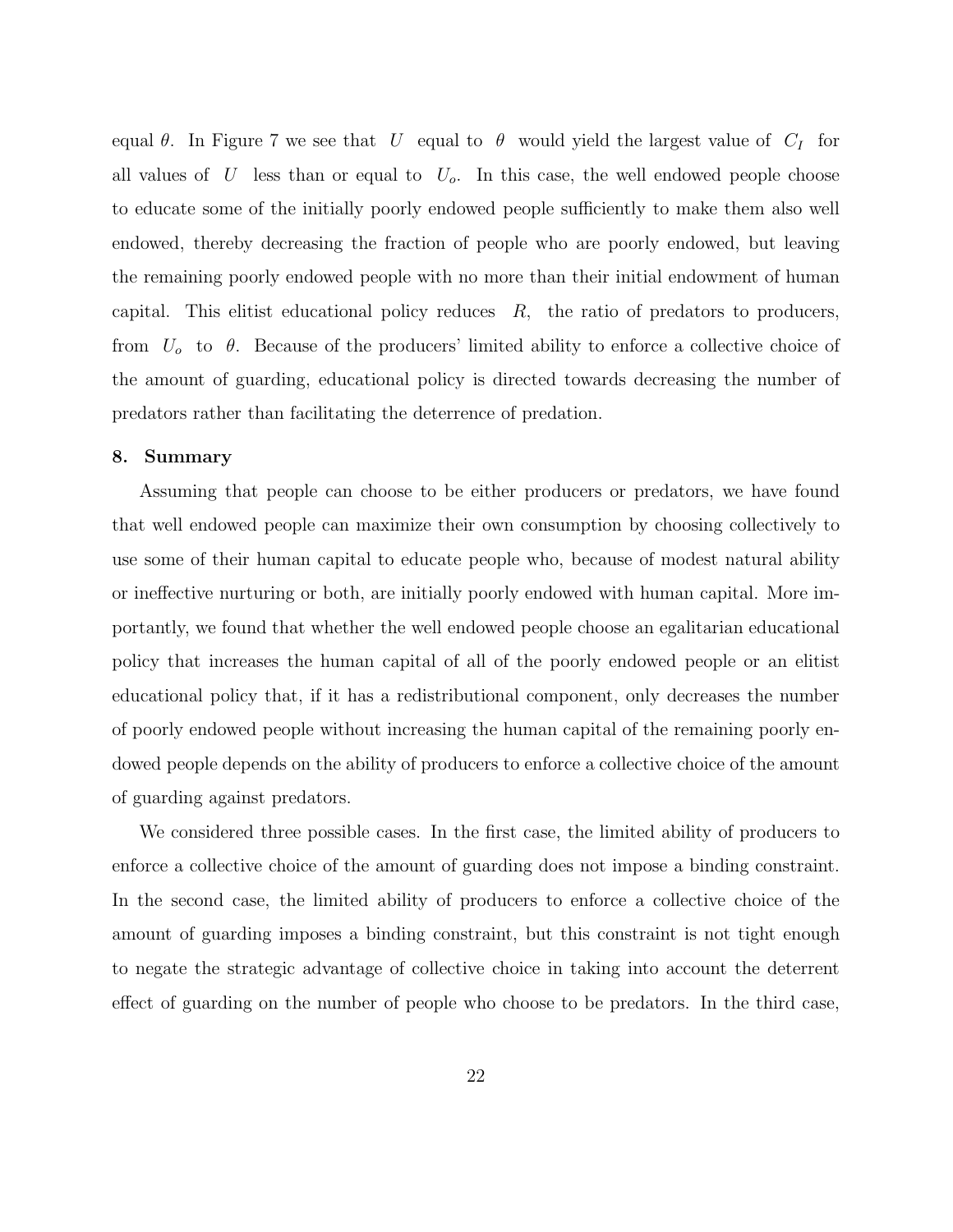equal  $\theta$ . In Figure 7 we see that U equal to  $\theta$  would yield the largest value of  $C_I$  for all values of  $U$  less than or equal to  $U<sub>o</sub>$ . In this case, the well endowed people choose to educate some of the initially poorly endowed people sufficiently to make them also well endowed, thereby decreasing the fraction of people who are poorly endowed, but leaving the remaining poorly endowed people with no more than their initial endowment of human capital. This elitist educational policy reduces  $R$ , the ratio of predators to producers, from  $U_0$  to  $\theta$ . Because of the producers' limited ability to enforce a collective choice of the amount of guarding, educational policy is directed towards decreasing the number of predators rather than facilitating the deterrence of predation.

#### **8. Summary**

Assuming that people can choose to be either producers or predators, we have found that well endowed people can maximize their own consumption by choosing collectively to use some of their human capital to educate people who, because of modest natural ability or ineffective nurturing or both, are initially poorly endowed with human capital. More importantly, we found that whether the well endowed people choose an egalitarian educational policy that increases the human capital of all of the poorly endowed people or an elitist educational policy that, if it has a redistributional component, only decreases the number of poorly endowed people without increasing the human capital of the remaining poorly endowed people depends on the ability of producers to enforce a collective choice of the amount of guarding against predators.

We considered three possible cases. In the first case, the limited ability of producers to enforce a collective choice of the amount of guarding does not impose a binding constraint. In the second case, the limited ability of producers to enforce a collective choice of the amount of guarding imposes a binding constraint, but this constraint is not tight enough to negate the strategic advantage of collective choice in taking into account the deterrent effect of guarding on the number of people who choose to be predators. In the third case,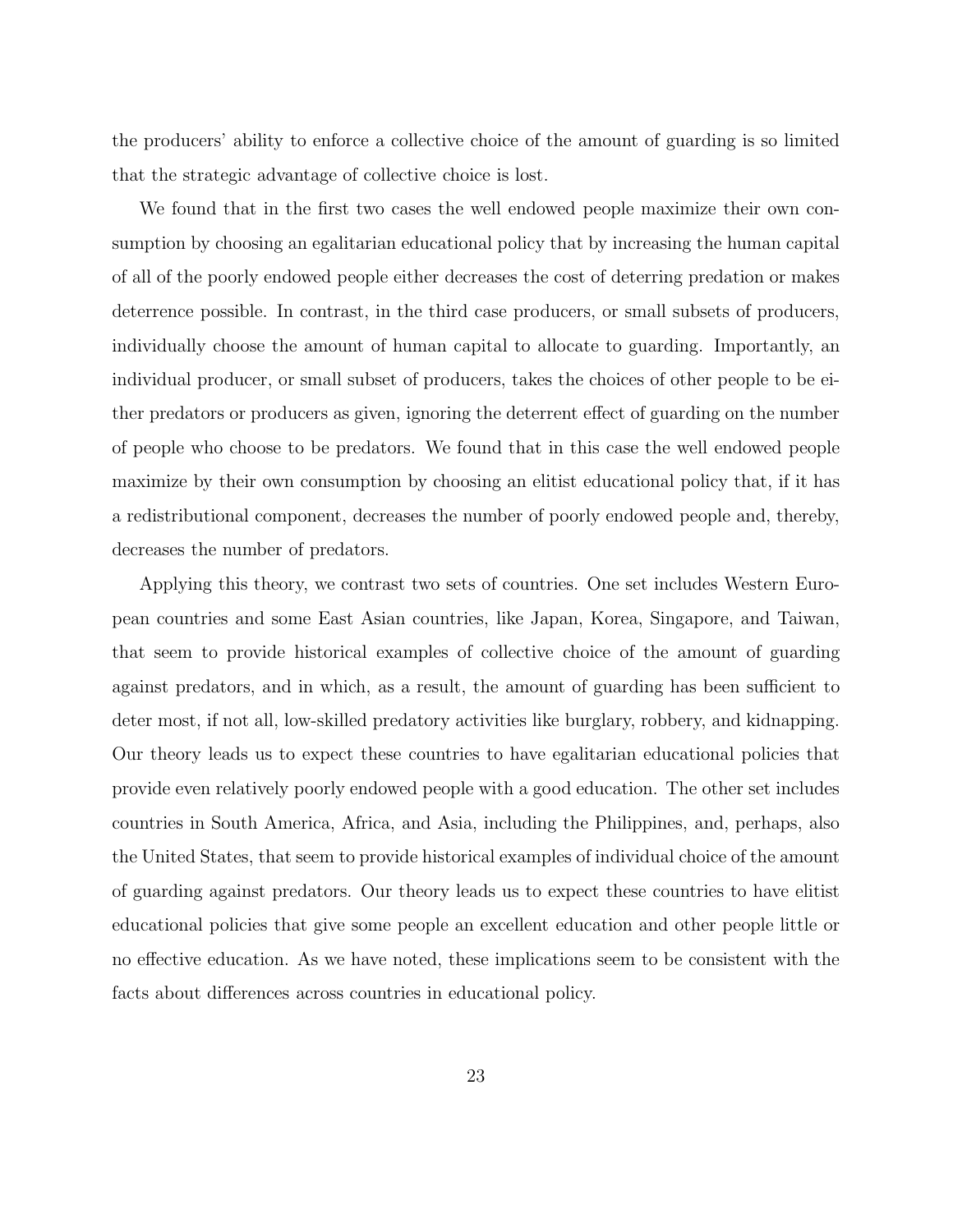the producers' ability to enforce a collective choice of the amount of guarding is so limited that the strategic advantage of collective choice is lost.

We found that in the first two cases the well endowed people maximize their own consumption by choosing an egalitarian educational policy that by increasing the human capital of all of the poorly endowed people either decreases the cost of deterring predation or makes deterrence possible. In contrast, in the third case producers, or small subsets of producers, individually choose the amount of human capital to allocate to guarding. Importantly, an individual producer, or small subset of producers, takes the choices of other people to be either predators or producers as given, ignoring the deterrent effect of guarding on the number of people who choose to be predators. We found that in this case the well endowed people maximize by their own consumption by choosing an elitist educational policy that, if it has a redistributional component, decreases the number of poorly endowed people and, thereby, decreases the number of predators.

Applying this theory, we contrast two sets of countries. One set includes Western European countries and some East Asian countries, like Japan, Korea, Singapore, and Taiwan, that seem to provide historical examples of collective choice of the amount of guarding against predators, and in which, as a result, the amount of guarding has been sufficient to deter most, if not all, low-skilled predatory activities like burglary, robbery, and kidnapping. Our theory leads us to expect these countries to have egalitarian educational policies that provide even relatively poorly endowed people with a good education. The other set includes countries in South America, Africa, and Asia, including the Philippines, and, perhaps, also the United States, that seem to provide historical examples of individual choice of the amount of guarding against predators. Our theory leads us to expect these countries to have elitist educational policies that give some people an excellent education and other people little or no effective education. As we have noted, these implications seem to be consistent with the facts about differences across countries in educational policy.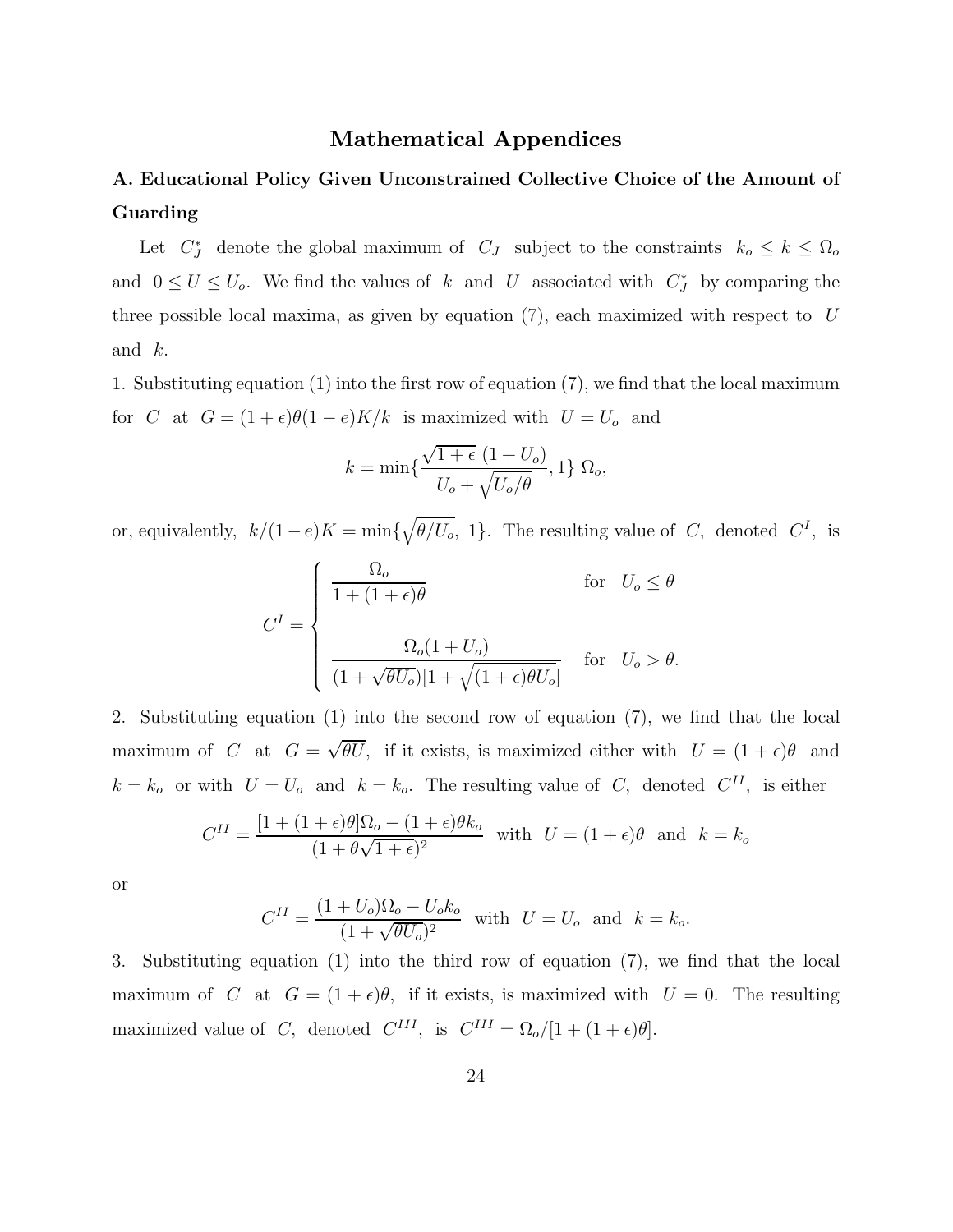### **Mathematical Appendices**

### **A. Educational Policy Given Unconstrained Collective Choice of the Amount of Guarding**

Let  $C_J^*$  denote the global maximum of  $C_J$  subject to the constraints  $k_o \leq k \leq \Omega_o$ and  $0 \leq U \leq U_o$ . We find the values of k and U associated with  $C_J^*$  by comparing the three possible local maxima, as given by equation  $(7)$ , each maximized with respect to U and k.

1. Substituting equation  $(1)$  into the first row of equation  $(7)$ , we find that the local maximum for C at  $G = (1 + \epsilon)\theta(1 - e)K/k$  is maximized with  $U = U_o$  and

$$
k = \min\{\frac{\sqrt{1+\epsilon} (1+U_o)}{U_o + \sqrt{U_o/\theta}}, 1\} \ \Omega_o,
$$

or, equivalently,  $k/(1-e)K = \min\{\sqrt{\theta/U_o}, 1\}$ . The resulting value of C, denoted  $C<sup>I</sup>$ , is

$$
C^{I} = \begin{cases} \frac{\Omega_{o}}{1 + (1 + \epsilon)\theta} & \text{for } U_{o} \leq \theta \\ \frac{\Omega_{o}(1 + U_{o})}{(1 + \sqrt{\theta U_{o}})[1 + \sqrt{(1 + \epsilon)\theta U_{o}}]} & \text{for } U_{o} > \theta. \end{cases}
$$

2. Substituting equation  $(1)$  into the second row of equation  $(7)$ , we find that the local maximum of C at  $G = \sqrt{\theta U}$ , if it exists, is maximized either with  $U = (1 + \epsilon)\theta$  and  $k = k_o$  or with  $U = U_o$  and  $k = k_o$ . The resulting value of C, denoted  $C^{II}$ , is either

$$
C^{II} = \frac{[1 + (1 + \epsilon)\theta]\Omega_o - (1 + \epsilon)\theta k_o}{(1 + \theta\sqrt{1 + \epsilon})^2}
$$
 with  $U = (1 + \epsilon)\theta$  and  $k = k_o$ 

or

$$
C^{II} = \frac{(1 + U_o)\Omega_o - U_o k_o}{(1 + \sqrt{\theta U_o})^2} \text{ with } U = U_o \text{ and } k = k_o.
$$

3. Substituting equation (1) into the third row of equation  $(7)$ , we find that the local maximum of C at  $G = (1 + \epsilon)\theta$ , if it exists, is maximized with  $U = 0$ . The resulting maximized value of C, denoted  $C^{III}$ , is  $C^{III} = \Omega_o/[1 + (1 + \epsilon)\theta]$ .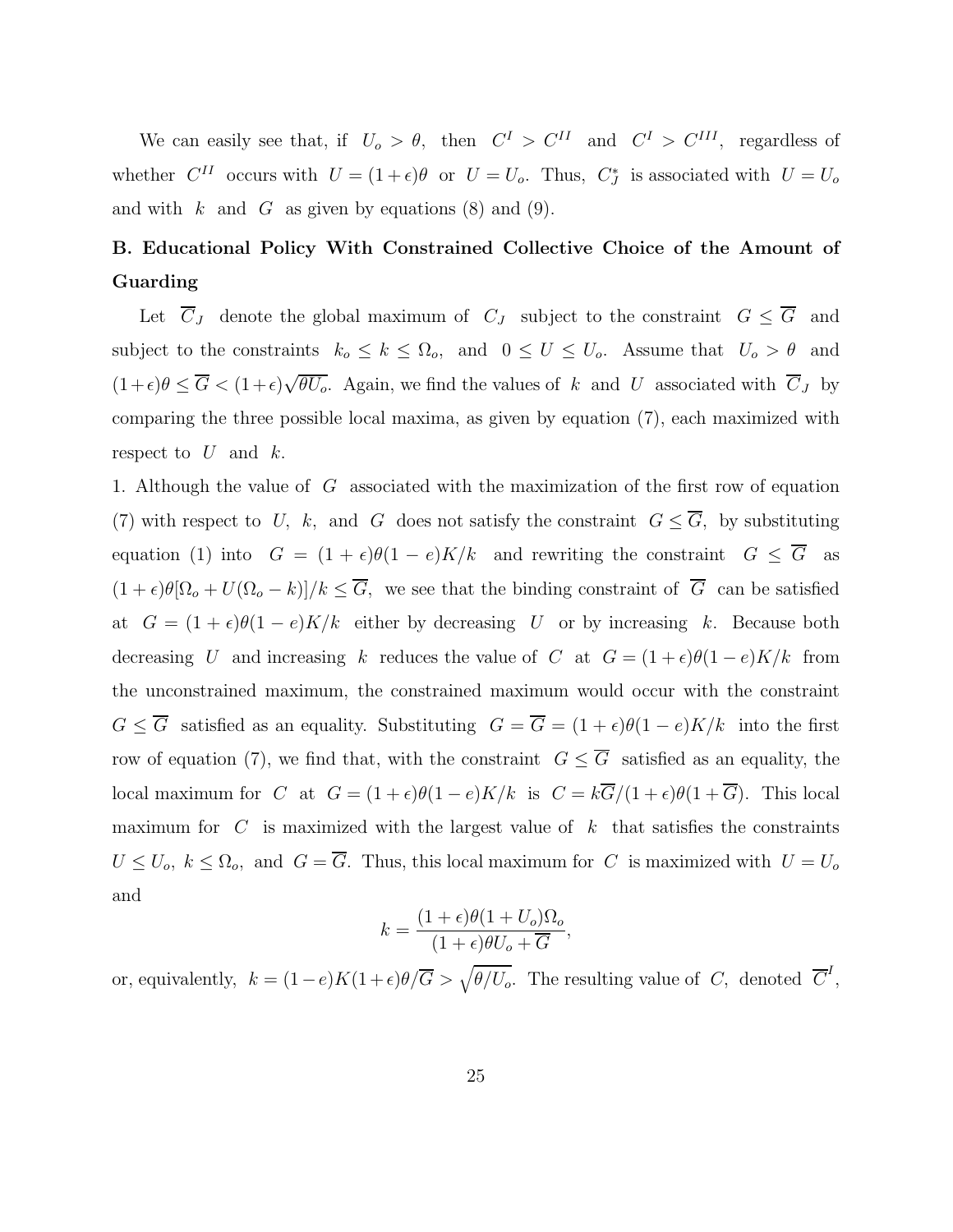We can easily see that, if  $U_o > \theta$ , then  $C^I > C^{II}$  and  $C^I > C^{III}$ , regardless of whether  $C^{II}$  occurs with  $U = (1 + \epsilon)\theta$  or  $U = U_o$ . Thus,  $C_J^*$  is associated with  $U = U_o$ and with  $k$  and  $G$  as given by equations (8) and (9).

## **B. Educational Policy With Constrained Collective Choice of the Amount of Guarding**

Let  $\overline{C}_J$  denote the global maximum of  $C_J$  subject to the constraint  $G \leq \overline{G}$  and subject to the constraints  $k_o \le k \le \Omega_o$ , and  $0 \le U \le U_o$ . Assume that  $U_o > \theta$  and  $(1+\epsilon)\theta \leq \overline{G} < (1+\epsilon)\sqrt{\theta U_o}$ . Again, we find the values of k and U associated with  $\overline{C}_J$  by comparing the three possible local maxima, as given by equation  $(7)$ , each maximized with respect to  $U$  and  $k$ .

1. Although the value of  $G$  associated with the maximization of the first row of equation (7) with respect to U, k, and G does not satisfy the constraint  $G \leq \overline{G}$ , by substituting equation (1) into  $G = (1 + \epsilon)\theta(1 - e)K/k$  and rewriting the constraint  $G \leq \overline{G}$  as  $(1 + \epsilon)\theta[\Omega_o + U(\Omega_o - k)]/k \leq \overline{G}$ , we see that the binding constraint of  $\overline{G}$  can be satisfied at  $G = (1 + \epsilon)\theta(1 - e)K/k$  either by decreasing U or by increasing k. Because both decreasing U and increasing k reduces the value of C at  $G = (1 + \epsilon)\theta(1 - e)K/k$  from the unconstrained maximum, the constrained maximum would occur with the constraint  $G \leq \overline{G}$  satisfied as an equality. Substituting  $G = \overline{G} = (1 + \epsilon)\theta(1 - e)K/k$  into the first row of equation (7), we find that, with the constraint  $G \leq \overline{G}$  satisfied as an equality, the local maximum for C at  $G = (1 + \epsilon)\theta(1 - e)K/k$  is  $C = k\overline{G}/(1 + \epsilon)\theta(1 + \overline{G})$ . This local maximum for  $C$  is maximized with the largest value of  $k$  that satisfies the constraints  $U \leq U_o$ ,  $k \leq \Omega_o$ , and  $G = \overline{G}$ . Thus, this local maximum for C is maximized with  $U = U_o$ and

$$
k = \frac{(1+\epsilon)\theta(1+U_o)\Omega_o}{(1+\epsilon)\theta U_o + \overline{G}},
$$

or, equivalently,  $k = (1 - e)K(1 + \epsilon)\theta/\overline{G} > \sqrt{\theta/U_o}$ . The resulting value of C, denoted  $\overline{C}^I$ ,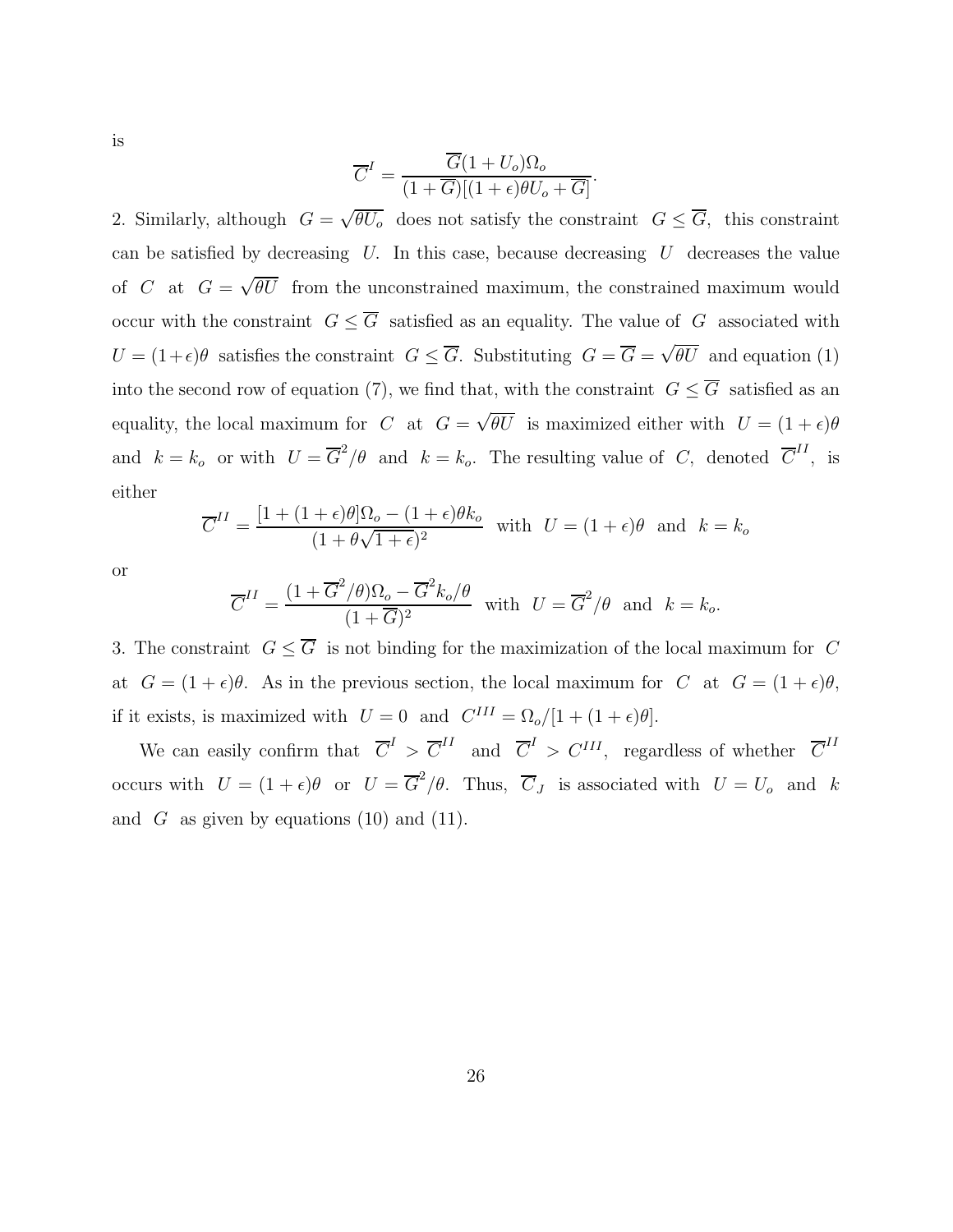is

$$
\overline{C}^{I} = \frac{\overline{G}(1+U_{o})\Omega_{o}}{(1+\overline{G})[(1+\epsilon)\theta U_{o} + \overline{G}]}
$$

.

2. Similarly, although  $G = \sqrt{\theta U_o}$  does not satisfy the constraint  $G \leq \overline{G}$ , this constraint can be satisfied by decreasing  $U$ . In this case, because decreasing  $U$  decreases the value of C at  $G = \sqrt{\theta U}$  from the unconstrained maximum, the constrained maximum would occur with the constraint  $G \leq \overline{G}$  satisfied as an equality. The value of  $G$  associated with  $U = (1+\epsilon)\theta$  satisfies the constraint  $G \leq \overline{G}$ . Substituting  $G = \overline{G} = \sqrt{\theta U}$  and equation (1) into the second row of equation (7), we find that, with the constraint  $G \leq \overline{G}$  satisfied as an equality, the local maximum for C at  $G = \sqrt{\theta U}$  is maximized either with  $U = (1 + \epsilon)\theta$ and  $k = k_o$  or with  $U = \overline{G}^2/\theta$  and  $k = k_o$ . The resulting value of C, denoted  $\overline{C}^{II}$ , is either

$$
\overline{C}^{II} = \frac{[1 + (1 + \epsilon)\theta]\Omega_o - (1 + \epsilon)\theta k_o}{(1 + \theta\sqrt{1 + \epsilon})^2} \text{ with } U = (1 + \epsilon)\theta \text{ and } k = k_o
$$

or

$$
\overline{C}^{II} = \frac{(1 + \overline{G}^2/\theta)\Omega_o - \overline{G}^2 k_o/\theta}{(1 + \overline{G})^2} \text{ with } U = \overline{G}^2/\theta \text{ and } k = k_o.
$$

3. The constraint  $G \leq \overline{G}$  is not binding for the maximization of the local maximum for C at  $G = (1 + \epsilon)\theta$ . As in the previous section, the local maximum for C at  $G = (1 + \epsilon)\theta$ , if it exists, is maximized with  $U = 0$  and  $C^{III} = \Omega_o/[1 + (1 + \epsilon)\theta]$ .

We can easily confirm that  $\overline{C}^I > \overline{C}^{II}$  and  $\overline{C}^I > C^{III}$ , regardless of whether  $\overline{C}^{II}$ occurs with  $U = (1 + \epsilon)\theta$  or  $U = \overline{G}^2/\theta$ . Thus,  $\overline{C}_J$  is associated with  $U = U_o$  and k and  $G$  as given by equations (10) and (11).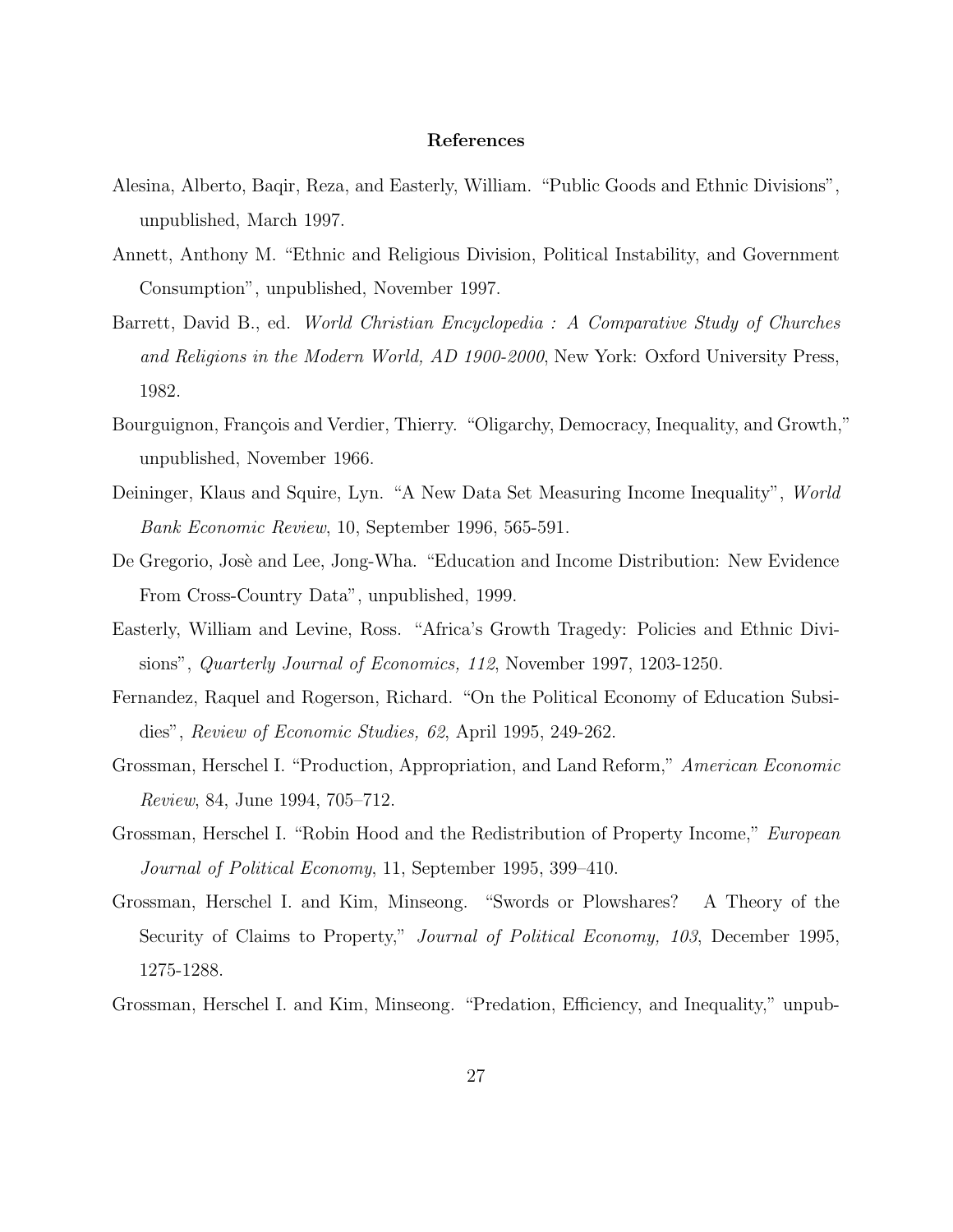#### **References**

- Alesina, Alberto, Baqir, Reza, and Easterly, William. "Public Goods and Ethnic Divisions", unpublished, March 1997.
- Annett, Anthony M. "Ethnic and Religious Division, Political Instability, and Government Consumption", unpublished, November 1997.
- Barrett, David B., ed. World Christian Encyclopedia : A Comparative Study of Churches and Religions in the Modern World, AD 1900-2000, New York: Oxford University Press, 1982.
- Bourguignon, François and Verdier, Thierry. "Oligarchy, Democracy, Inequality, and Growth," unpublished, November 1966.
- Deininger, Klaus and Squire, Lyn. "A New Data Set Measuring Income Inequality", World Bank Economic Review, 10, September 1996, 565-591.
- De Gregorio, Josè and Lee, Jong-Wha. "Education and Income Distribution: New Evidence From Cross-Country Data", unpublished, 1999.
- Easterly, William and Levine, Ross. "Africa's Growth Tragedy: Policies and Ethnic Divisions", *Quarterly Journal of Economics, 112*, November 1997, 1203-1250.
- Fernandez, Raquel and Rogerson, Richard. "On the Political Economy of Education Subsidies", Review of Economic Studies, 62, April 1995, 249-262.
- Grossman, Herschel I. "Production, Appropriation, and Land Reform," American Economic Review, 84, June 1994, 705–712.
- Grossman, Herschel I. "Robin Hood and the Redistribution of Property Income," European Journal of Political Economy, 11, September 1995, 399–410.
- Grossman, Herschel I. and Kim, Minseong. "Swords or Plowshares? A Theory of the Security of Claims to Property," Journal of Political Economy, 103, December 1995, 1275-1288.
- Grossman, Herschel I. and Kim, Minseong. "Predation, Efficiency, and Inequality," unpub-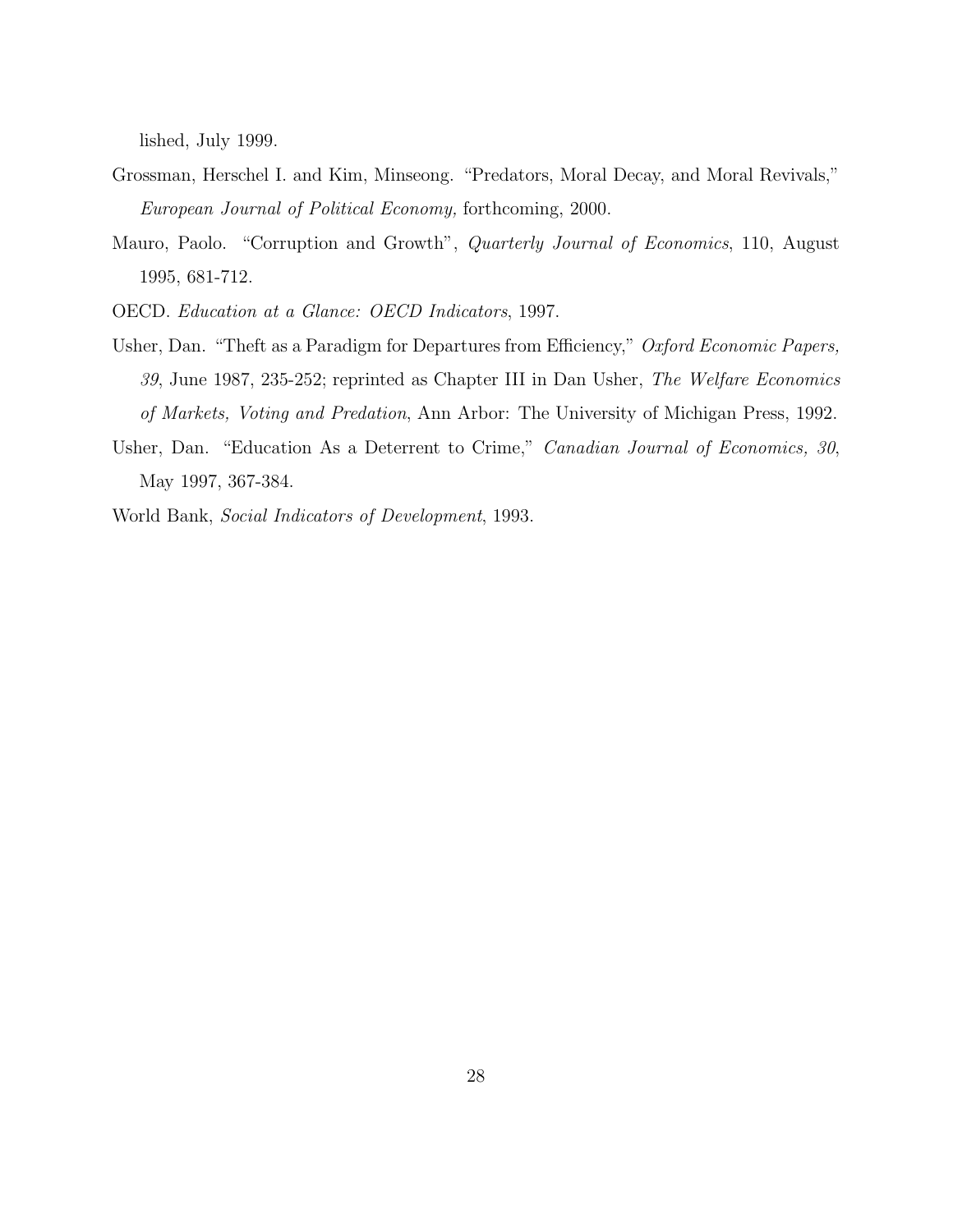lished, July 1999.

- Grossman, Herschel I. and Kim, Minseong. "Predators, Moral Decay, and Moral Revivals," European Journal of Political Economy, forthcoming,2000.
- Mauro, Paolo. "Corruption and Growth", *Quarterly Journal of Economics*, 110, August 1995,681-712.
- OECD. Education at a Glance: OECD Indicators,1997.
- Usher, Dan. "Theft as a Paradigm for Departures from Efficiency," Oxford Economic Papers, 39, June 1987, 235-252; reprinted as Chapter III in Dan Usher, The Welfare Economics of Markets, Voting and Predation,Ann Arbor: The University of Michigan Press,1992.
- Usher, Dan. "Education As a Deterrent to Crime," Canadian Journal of Economics, 30, May 1997, 367-384.
- World Bank, Social Indicators of Development,1993.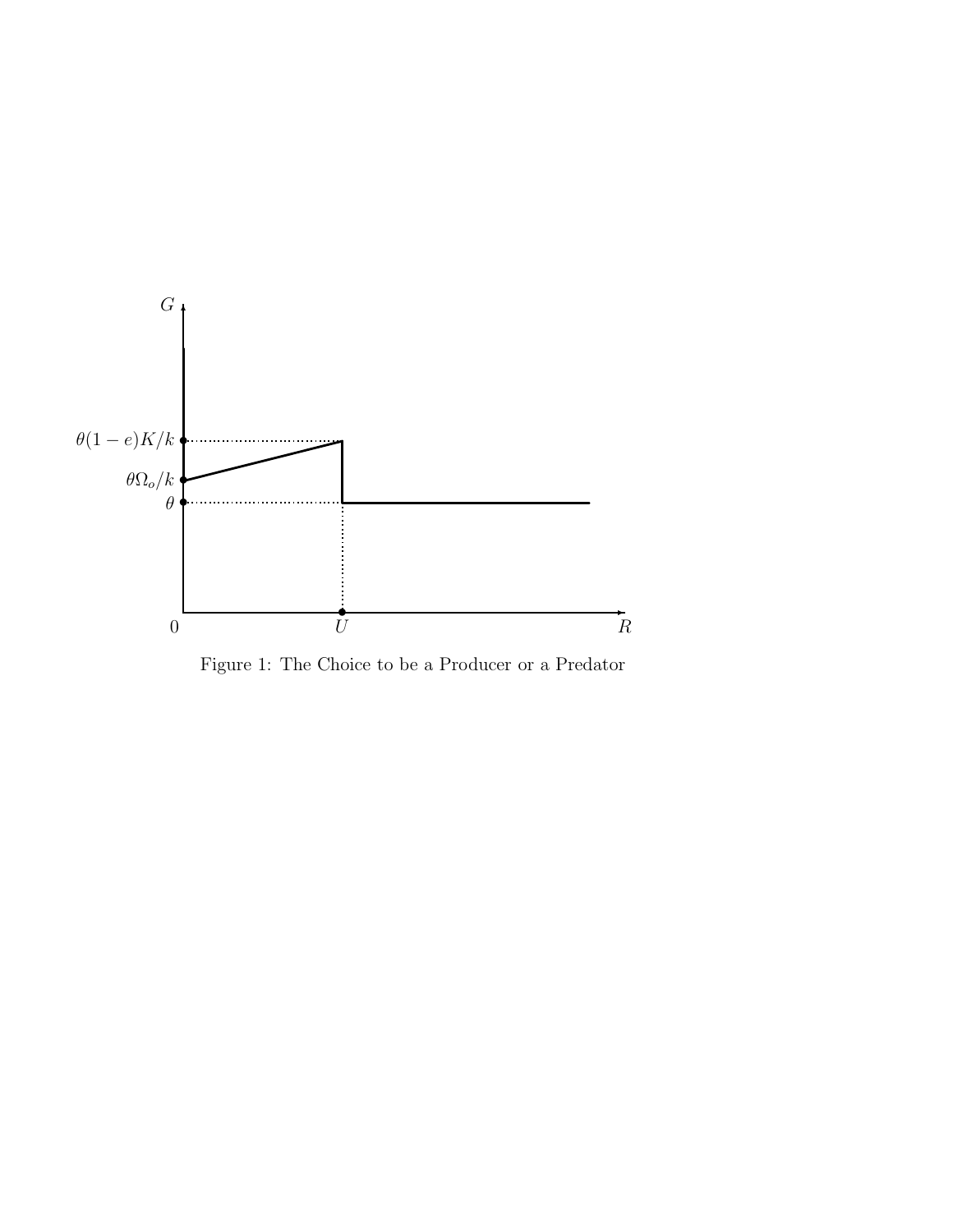

Figure 1: The Choice to be a Producer or a Predator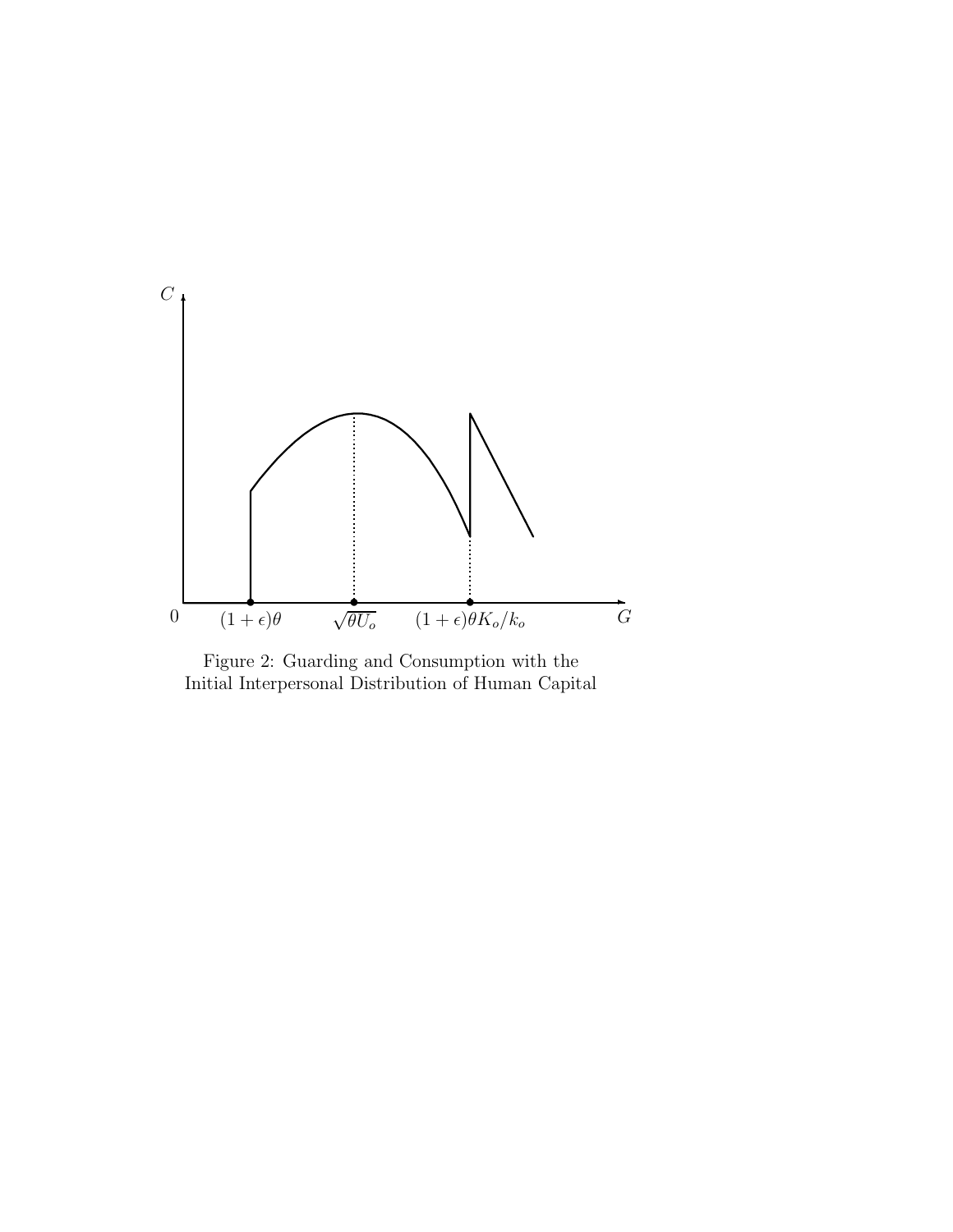

Figure 2: Guarding and Consumption with the Initial Interpersonal Distribution of Human Capital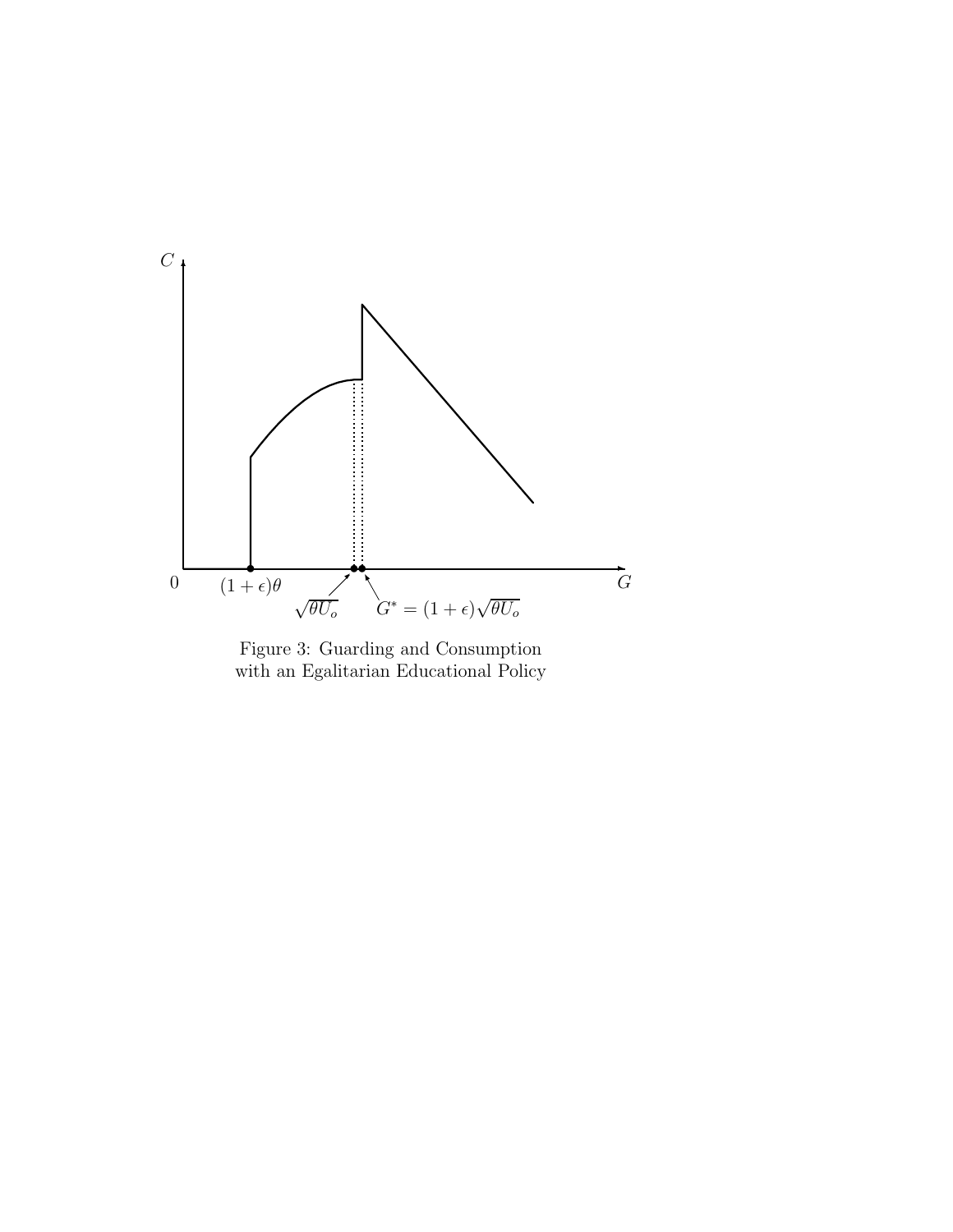

Figure 3: Guarding and Consumption with an Egalitarian Educational Policy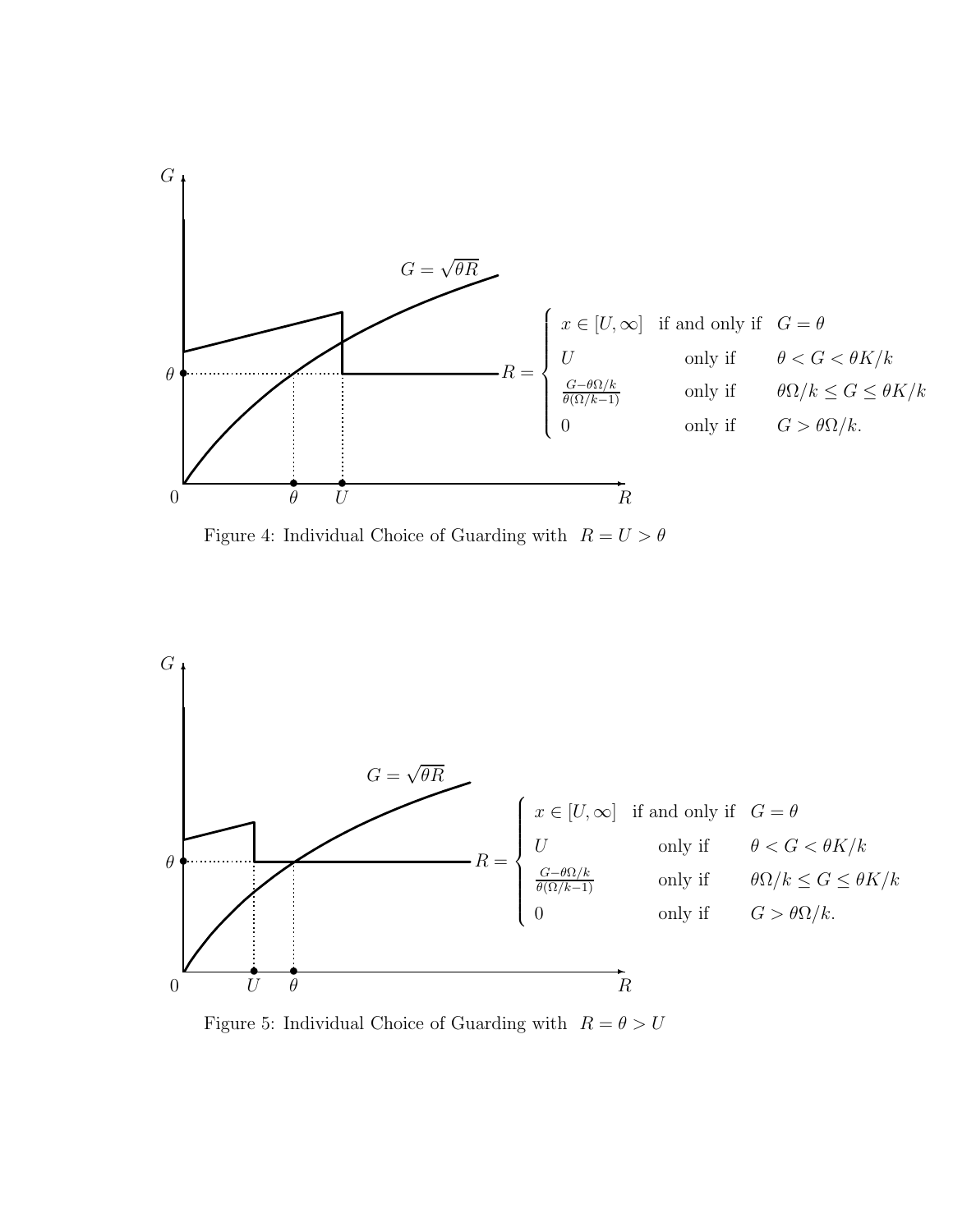

Figure 4: Individual Choice of Guarding with  $R = U > \theta$ 



Figure 5: Individual Choice of Guarding with  $R = \theta > U$